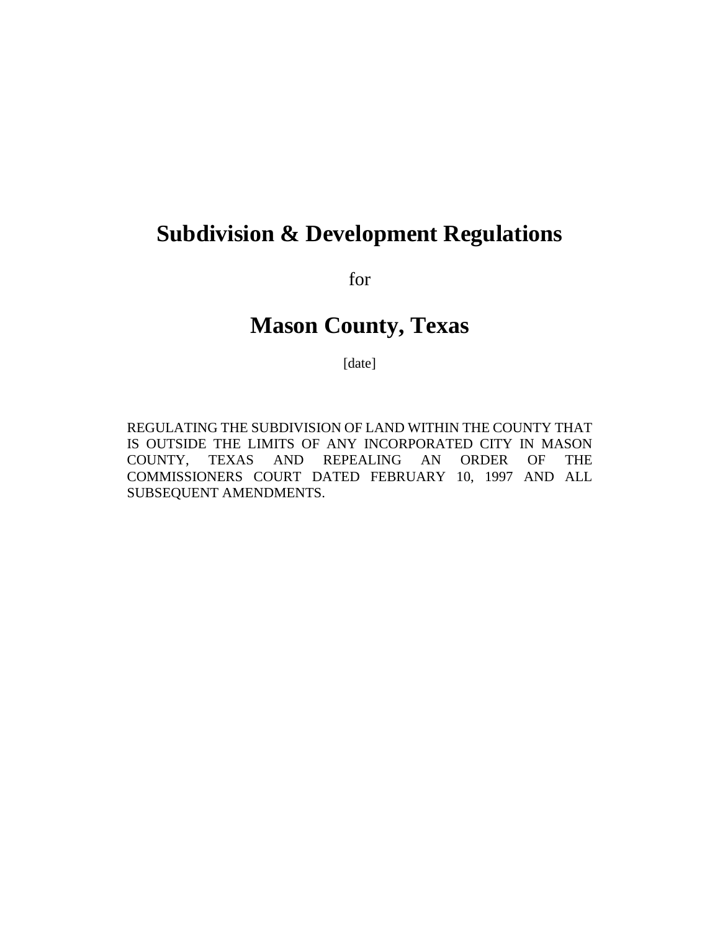# **Subdivision & Development Regulations**

for

# **Mason County, Texas**

[date]

REGULATING THE SUBDIVISION OF LAND WITHIN THE COUNTY THAT IS OUTSIDE THE LIMITS OF ANY INCORPORATED CITY IN MASON COUNTY, TEXAS AND REPEALING AN ORDER OF THE COMMISSIONERS COURT DATED FEBRUARY 10, 1997 AND ALL SUBSEQUENT AMENDMENTS.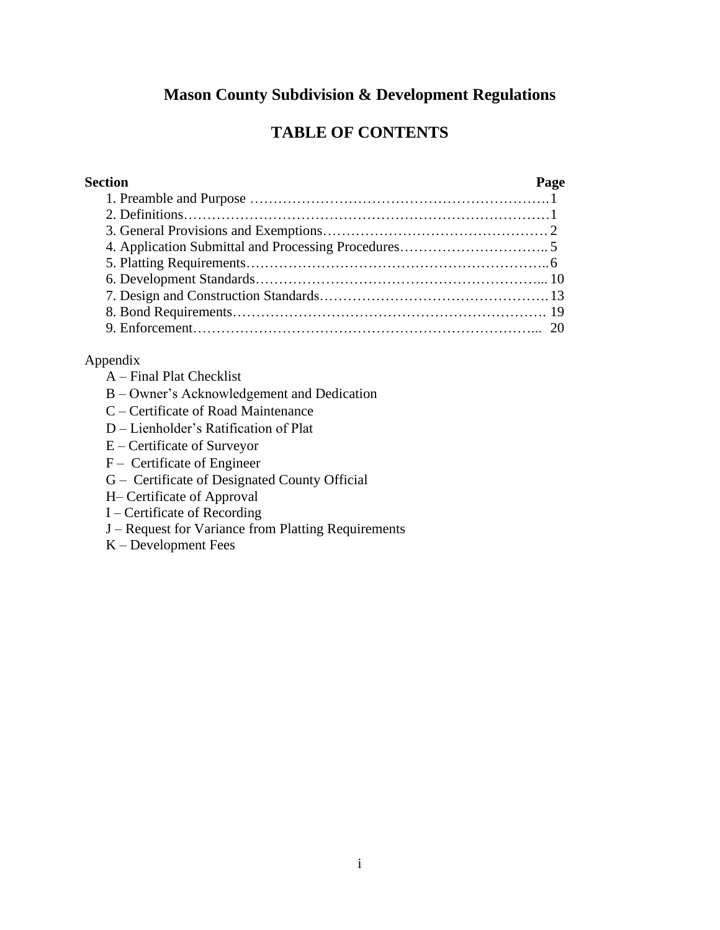## **Mason County Subdivision & Development Regulations**

## **TABLE OF CONTENTS**

### **Section Page** 1. Preamble and Purpose ……………………………………………………….1 2. Definitions……………………………………………………………………1 3. General Provisions and Exemptions…………………………………………2 4. Application Submittal and Processing Procedures………………………….. 5 5. Platting Requirements………………………………………………………..6 6. Development Standards……………………………………………………... 10 7. Design and Construction Standards………………………………………….13 8. Bond Requirements…………………………………………………………. 19 9. Enforcement………………………………………………………………... 20

### Appendix

- A Final Plat Checklist
- B Owner's Acknowledgement and Dedication
- C Certificate of Road Maintenance
- D Lienholder's Ratification of Plat
- E Certificate of Surveyor
- F Certificate of Engineer
- G Certificate of Designated County Official
- H– Certificate of Approval
- I Certificate of Recording
- J Request for Variance from Platting Requirements
- K Development Fees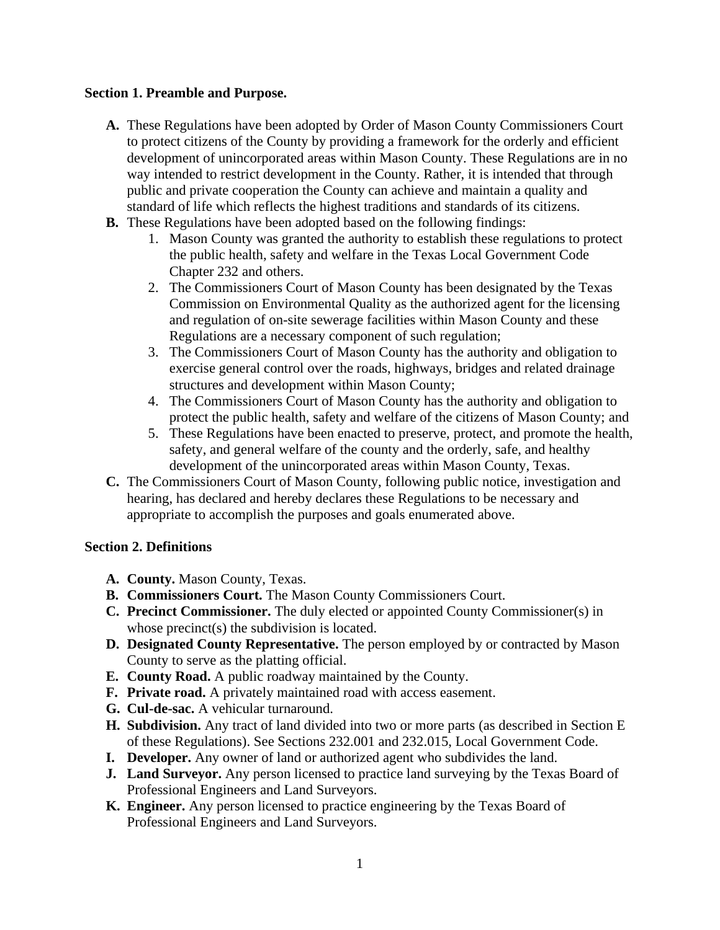### **Section 1. Preamble and Purpose.**

- **A.** These Regulations have been adopted by Order of Mason County Commissioners Court to protect citizens of the County by providing a framework for the orderly and efficient development of unincorporated areas within Mason County. These Regulations are in no way intended to restrict development in the County. Rather, it is intended that through public and private cooperation the County can achieve and maintain a quality and standard of life which reflects the highest traditions and standards of its citizens.
- **B.** These Regulations have been adopted based on the following findings:
	- 1. Mason County was granted the authority to establish these regulations to protect the public health, safety and welfare in the Texas Local Government Code Chapter 232 and others.
	- 2. The Commissioners Court of Mason County has been designated by the Texas Commission on Environmental Quality as the authorized agent for the licensing and regulation of on-site sewerage facilities within Mason County and these Regulations are a necessary component of such regulation;
	- 3. The Commissioners Court of Mason County has the authority and obligation to exercise general control over the roads, highways, bridges and related drainage structures and development within Mason County;
	- 4. The Commissioners Court of Mason County has the authority and obligation to protect the public health, safety and welfare of the citizens of Mason County; and
	- 5. These Regulations have been enacted to preserve, protect, and promote the health, safety, and general welfare of the county and the orderly, safe, and healthy development of the unincorporated areas within Mason County, Texas.
- **C.** The Commissioners Court of Mason County, following public notice, investigation and hearing, has declared and hereby declares these Regulations to be necessary and appropriate to accomplish the purposes and goals enumerated above.

#### **Section 2. Definitions**

- **A. County.** Mason County, Texas.
- **B. Commissioners Court.** The Mason County Commissioners Court.
- **C. Precinct Commissioner.** The duly elected or appointed County Commissioner(s) in whose precinct(s) the subdivision is located.
- **D. Designated County Representative.** The person employed by or contracted by Mason County to serve as the platting official.
- **E. County Road.** A public roadway maintained by the County.
- **F. Private road.** A privately maintained road with access easement.
- **G. Cul-de-sac.** A vehicular turnaround.
- **H. Subdivision.** Any tract of land divided into two or more parts (as described in Section E of these Regulations). See Sections 232.001 and 232.015, Local Government Code.
- **I. Developer.** Any owner of land or authorized agent who subdivides the land.
- **J. Land Surveyor.** Any person licensed to practice land surveying by the Texas Board of Professional Engineers and Land Surveyors.
- **K. Engineer.** Any person licensed to practice engineering by the Texas Board of Professional Engineers and Land Surveyors.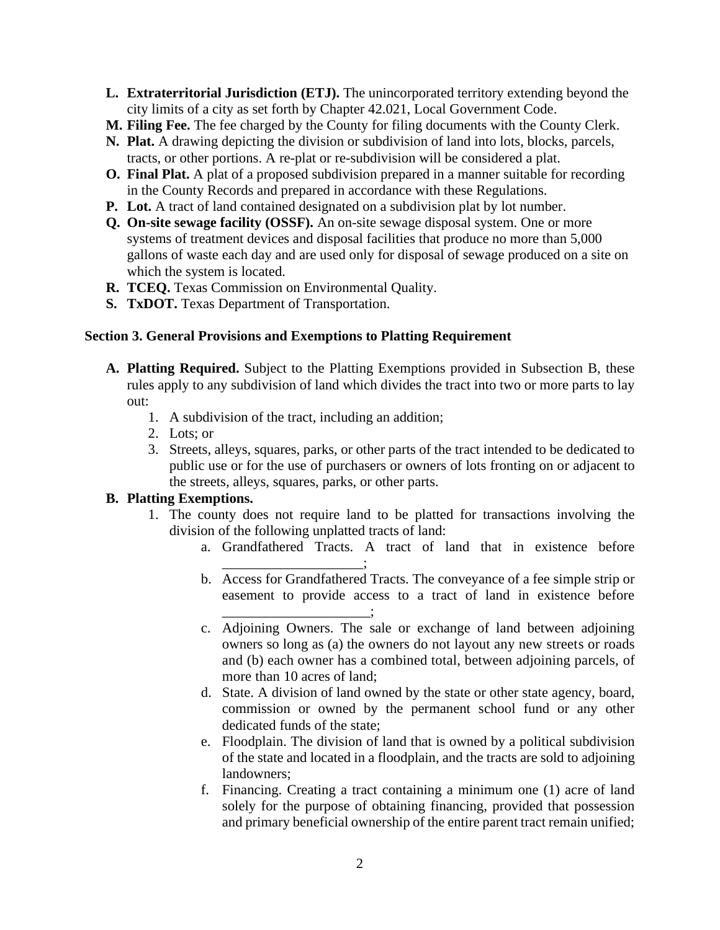- **L. Extraterritorial Jurisdiction (ETJ).** The unincorporated territory extending beyond the city limits of a city as set forth by Chapter 42.021, Local Government Code.
- **M. Filing Fee.** The fee charged by the County for filing documents with the County Clerk.
- **N. Plat.** A drawing depicting the division or subdivision of land into lots, blocks, parcels, tracts, or other portions. A re-plat or re-subdivision will be considered a plat.
- **O. Final Plat.** A plat of a proposed subdivision prepared in a manner suitable for recording in the County Records and prepared in accordance with these Regulations.
- **P. Lot.** A tract of land contained designated on a subdivision plat by lot number.
- **Q. On-site sewage facility (OSSF).** An on-site sewage disposal system. One or more systems of treatment devices and disposal facilities that produce no more than 5,000 gallons of waste each day and are used only for disposal of sewage produced on a site on which the system is located.
- **R. TCEQ.** Texas Commission on Environmental Quality.
- **S. TxDOT.** Texas Department of Transportation.

### **Section 3. General Provisions and Exemptions to Platting Requirement**

- **A. Platting Required.** Subject to the Platting Exemptions provided in Subsection B, these rules apply to any subdivision of land which divides the tract into two or more parts to lay out:
	- 1. A subdivision of the tract, including an addition;
	- 2. Lots; or
	- 3. Streets, alleys, squares, parks, or other parts of the tract intended to be dedicated to public use or for the use of purchasers or owners of lots fronting on or adjacent to the streets, alleys, squares, parks, or other parts.

#### **B. Platting Exemptions.**

- 1. The county does not require land to be platted for transactions involving the division of the following unplatted tracts of land:
	- a. Grandfathered Tracts. A tract of land that in existence before \_\_\_\_\_\_\_\_\_\_\_\_\_\_\_\_\_\_\_\_;
	- b. Access for Grandfathered Tracts. The conveyance of a fee simple strip or easement to provide access to a tract of land in existence before \_\_\_\_\_\_\_\_\_\_\_\_\_\_\_\_\_\_\_\_\_;
	- c. Adjoining Owners. The sale or exchange of land between adjoining owners so long as (a) the owners do not layout any new streets or roads and (b) each owner has a combined total, between adjoining parcels, of more than 10 acres of land;
	- d. State. A division of land owned by the state or other state agency, board, commission or owned by the permanent school fund or any other dedicated funds of the state;
	- e. Floodplain. The division of land that is owned by a political subdivision of the state and located in a floodplain, and the tracts are sold to adjoining landowners;
	- f. Financing. Creating a tract containing a minimum one (1) acre of land solely for the purpose of obtaining financing, provided that possession and primary beneficial ownership of the entire parent tract remain unified;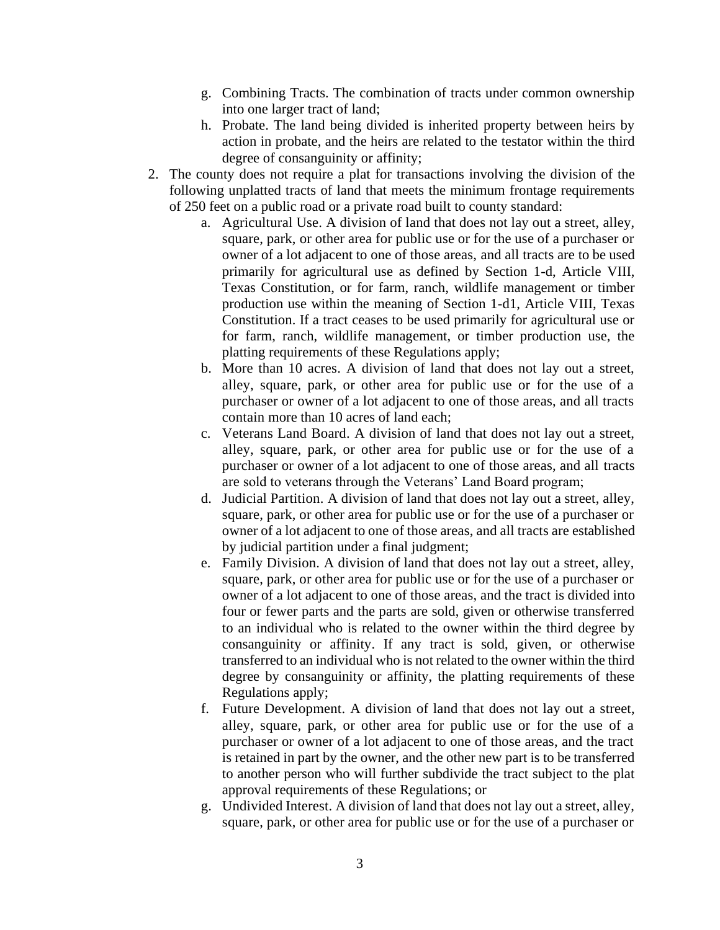- g. Combining Tracts. The combination of tracts under common ownership into one larger tract of land;
- h. Probate. The land being divided is inherited property between heirs by action in probate, and the heirs are related to the testator within the third degree of consanguinity or affinity;
- 2. The county does not require a plat for transactions involving the division of the following unplatted tracts of land that meets the minimum frontage requirements of 250 feet on a public road or a private road built to county standard:
	- a. Agricultural Use. A division of land that does not lay out a street, alley, square, park, or other area for public use or for the use of a purchaser or owner of a lot adjacent to one of those areas, and all tracts are to be used primarily for agricultural use as defined by Section 1-d, Article VIII, Texas Constitution, or for farm, ranch, wildlife management or timber production use within the meaning of Section 1-d1, Article VIII, Texas Constitution. If a tract ceases to be used primarily for agricultural use or for farm, ranch, wildlife management, or timber production use, the platting requirements of these Regulations apply;
	- b. More than 10 acres. A division of land that does not lay out a street, alley, square, park, or other area for public use or for the use of a purchaser or owner of a lot adjacent to one of those areas, and all tracts contain more than 10 acres of land each;
	- c. Veterans Land Board. A division of land that does not lay out a street, alley, square, park, or other area for public use or for the use of a purchaser or owner of a lot adjacent to one of those areas, and all tracts are sold to veterans through the Veterans' Land Board program;
	- d. Judicial Partition. A division of land that does not lay out a street, alley, square, park, or other area for public use or for the use of a purchaser or owner of a lot adjacent to one of those areas, and all tracts are established by judicial partition under a final judgment;
	- e. Family Division. A division of land that does not lay out a street, alley, square, park, or other area for public use or for the use of a purchaser or owner of a lot adjacent to one of those areas, and the tract is divided into four or fewer parts and the parts are sold, given or otherwise transferred to an individual who is related to the owner within the third degree by consanguinity or affinity. If any tract is sold, given, or otherwise transferred to an individual who is not related to the owner within the third degree by consanguinity or affinity, the platting requirements of these Regulations apply;
	- f. Future Development. A division of land that does not lay out a street, alley, square, park, or other area for public use or for the use of a purchaser or owner of a lot adjacent to one of those areas, and the tract is retained in part by the owner, and the other new part is to be transferred to another person who will further subdivide the tract subject to the plat approval requirements of these Regulations; or
	- g. Undivided Interest. A division of land that does not lay out a street, alley, square, park, or other area for public use or for the use of a purchaser or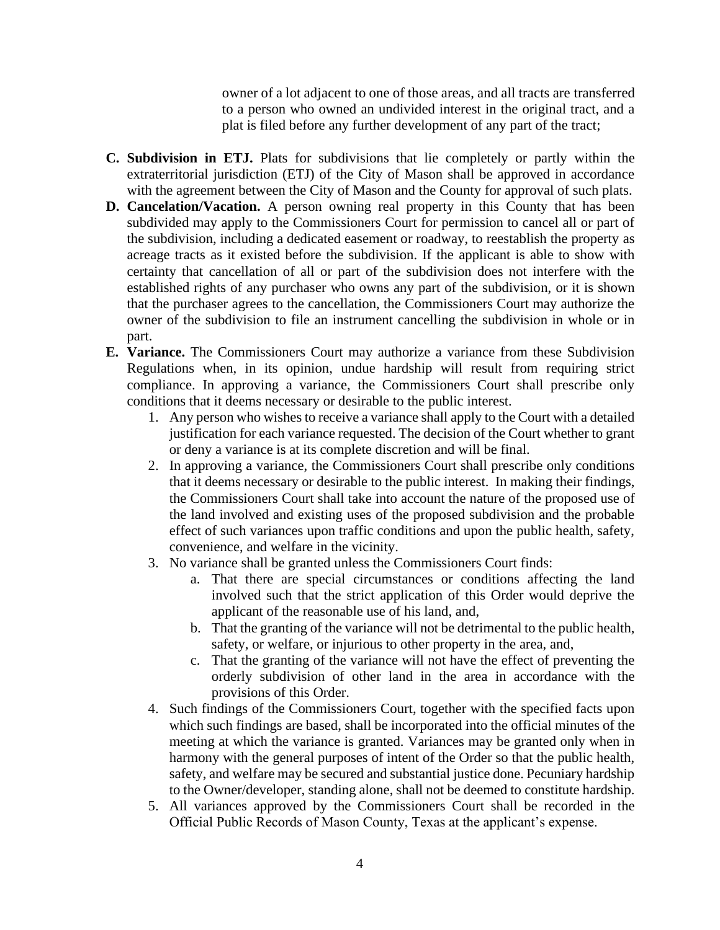owner of a lot adjacent to one of those areas, and all tracts are transferred to a person who owned an undivided interest in the original tract, and a plat is filed before any further development of any part of the tract;

- **C. Subdivision in ETJ.** Plats for subdivisions that lie completely or partly within the extraterritorial jurisdiction (ETJ) of the City of Mason shall be approved in accordance with the agreement between the City of Mason and the County for approval of such plats.
- **D. Cancelation/Vacation.** A person owning real property in this County that has been subdivided may apply to the Commissioners Court for permission to cancel all or part of the subdivision, including a dedicated easement or roadway, to reestablish the property as acreage tracts as it existed before the subdivision. If the applicant is able to show with certainty that cancellation of all or part of the subdivision does not interfere with the established rights of any purchaser who owns any part of the subdivision, or it is shown that the purchaser agrees to the cancellation, the Commissioners Court may authorize the owner of the subdivision to file an instrument cancelling the subdivision in whole or in part.
- **E. Variance.** The Commissioners Court may authorize a variance from these Subdivision Regulations when, in its opinion, undue hardship will result from requiring strict compliance. In approving a variance, the Commissioners Court shall prescribe only conditions that it deems necessary or desirable to the public interest.
	- 1. Any person who wishes to receive a variance shall apply to the Court with a detailed justification for each variance requested. The decision of the Court whether to grant or deny a variance is at its complete discretion and will be final.
	- 2. In approving a variance, the Commissioners Court shall prescribe only conditions that it deems necessary or desirable to the public interest. In making their findings, the Commissioners Court shall take into account the nature of the proposed use of the land involved and existing uses of the proposed subdivision and the probable effect of such variances upon traffic conditions and upon the public health, safety, convenience, and welfare in the vicinity.
	- 3. No variance shall be granted unless the Commissioners Court finds:
		- a. That there are special circumstances or conditions affecting the land involved such that the strict application of this Order would deprive the applicant of the reasonable use of his land, and,
		- b. That the granting of the variance will not be detrimental to the public health, safety, or welfare, or injurious to other property in the area, and,
		- c. That the granting of the variance will not have the effect of preventing the orderly subdivision of other land in the area in accordance with the provisions of this Order.
	- 4. Such findings of the Commissioners Court, together with the specified facts upon which such findings are based, shall be incorporated into the official minutes of the meeting at which the variance is granted. Variances may be granted only when in harmony with the general purposes of intent of the Order so that the public health, safety, and welfare may be secured and substantial justice done. Pecuniary hardship to the Owner/developer, standing alone, shall not be deemed to constitute hardship.
	- 5. All variances approved by the Commissioners Court shall be recorded in the Official Public Records of Mason County, Texas at the applicant's expense.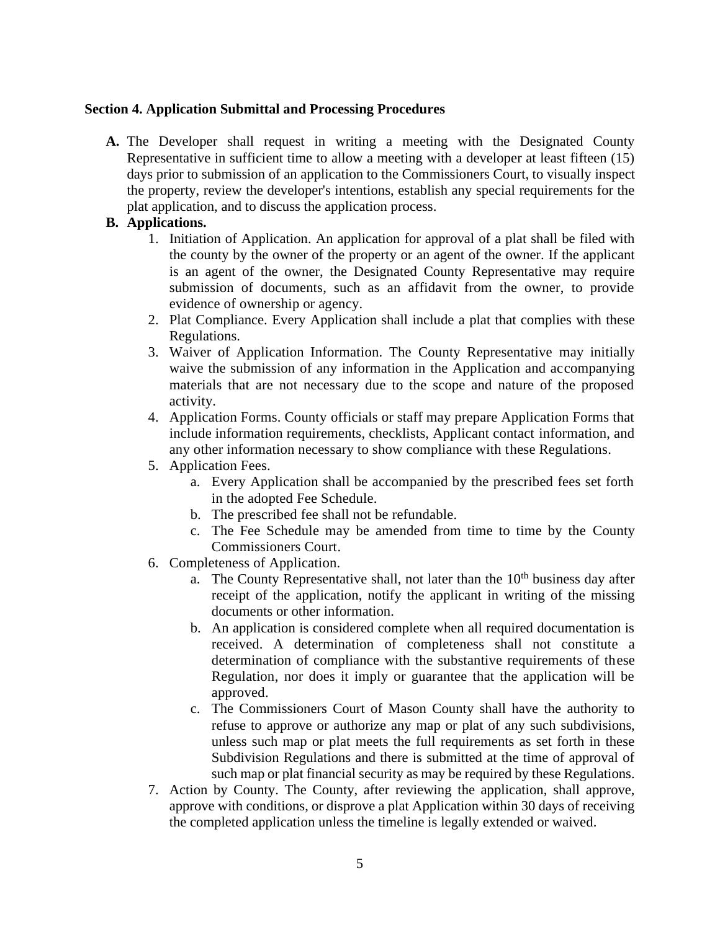#### **Section 4. Application Submittal and Processing Procedures**

**A.** The Developer shall request in writing a meeting with the Designated County Representative in sufficient time to allow a meeting with a developer at least fifteen (15) days prior to submission of an application to the Commissioners Court, to visually inspect the property, review the developer's intentions, establish any special requirements for the plat application, and to discuss the application process.

#### **B. Applications.**

- 1. Initiation of Application. An application for approval of a plat shall be filed with the county by the owner of the property or an agent of the owner. If the applicant is an agent of the owner, the Designated County Representative may require submission of documents, such as an affidavit from the owner, to provide evidence of ownership or agency.
- 2. Plat Compliance. Every Application shall include a plat that complies with these Regulations.
- 3. Waiver of Application Information. The County Representative may initially waive the submission of any information in the Application and accompanying materials that are not necessary due to the scope and nature of the proposed activity.
- 4. Application Forms. County officials or staff may prepare Application Forms that include information requirements, checklists, Applicant contact information, and any other information necessary to show compliance with these Regulations.
- 5. Application Fees.
	- a. Every Application shall be accompanied by the prescribed fees set forth in the adopted Fee Schedule.
	- b. The prescribed fee shall not be refundable.
	- c. The Fee Schedule may be amended from time to time by the County Commissioners Court.
- 6. Completeness of Application.
	- a. The County Representative shall, not later than the  $10<sup>th</sup>$  business day after receipt of the application, notify the applicant in writing of the missing documents or other information.
	- b. An application is considered complete when all required documentation is received. A determination of completeness shall not constitute a determination of compliance with the substantive requirements of these Regulation, nor does it imply or guarantee that the application will be approved.
	- c. The Commissioners Court of Mason County shall have the authority to refuse to approve or authorize any map or plat of any such subdivisions, unless such map or plat meets the full requirements as set forth in these Subdivision Regulations and there is submitted at the time of approval of such map or plat financial security as may be required by these Regulations.
- 7. Action by County. The County, after reviewing the application, shall approve, approve with conditions, or disprove a plat Application within 30 days of receiving the completed application unless the timeline is legally extended or waived.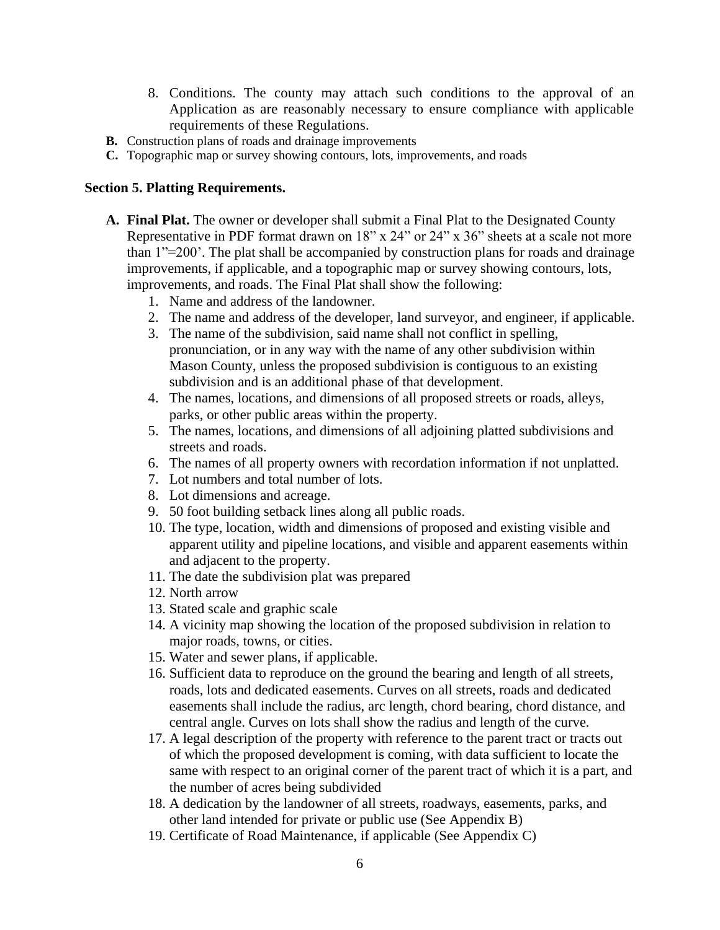- 8. Conditions. The county may attach such conditions to the approval of an Application as are reasonably necessary to ensure compliance with applicable requirements of these Regulations.
- **B.** Construction plans of roads and drainage improvements
- **C.** Topographic map or survey showing contours, lots, improvements, and roads

#### **Section 5. Platting Requirements.**

- **A. Final Plat.** The owner or developer shall submit a Final Plat to the Designated County Representative in PDF format drawn on 18" x 24" or 24" x 36" sheets at a scale not more than 1"=200'. The plat shall be accompanied by construction plans for roads and drainage improvements, if applicable, and a topographic map or survey showing contours, lots, improvements, and roads. The Final Plat shall show the following:
	- 1. Name and address of the landowner.
	- 2. The name and address of the developer, land surveyor, and engineer, if applicable.
	- 3. The name of the subdivision, said name shall not conflict in spelling, pronunciation, or in any way with the name of any other subdivision within Mason County, unless the proposed subdivision is contiguous to an existing subdivision and is an additional phase of that development.
	- 4. The names, locations, and dimensions of all proposed streets or roads, alleys, parks, or other public areas within the property.
	- 5. The names, locations, and dimensions of all adjoining platted subdivisions and streets and roads.
	- 6. The names of all property owners with recordation information if not unplatted.
	- 7. Lot numbers and total number of lots.
	- 8. Lot dimensions and acreage.
	- 9. 50 foot building setback lines along all public roads.
	- 10. The type, location, width and dimensions of proposed and existing visible and apparent utility and pipeline locations, and visible and apparent easements within and adjacent to the property.
	- 11. The date the subdivision plat was prepared
	- 12. North arrow
	- 13. Stated scale and graphic scale
	- 14. A vicinity map showing the location of the proposed subdivision in relation to major roads, towns, or cities.
	- 15. Water and sewer plans, if applicable.
	- 16. Sufficient data to reproduce on the ground the bearing and length of all streets, roads, lots and dedicated easements. Curves on all streets, roads and dedicated easements shall include the radius, arc length, chord bearing, chord distance, and central angle. Curves on lots shall show the radius and length of the curve.
	- 17. A legal description of the property with reference to the parent tract or tracts out of which the proposed development is coming, with data sufficient to locate the same with respect to an original corner of the parent tract of which it is a part, and the number of acres being subdivided
	- 18. A dedication by the landowner of all streets, roadways, easements, parks, and other land intended for private or public use (See Appendix B)
	- 19. Certificate of Road Maintenance, if applicable (See Appendix C)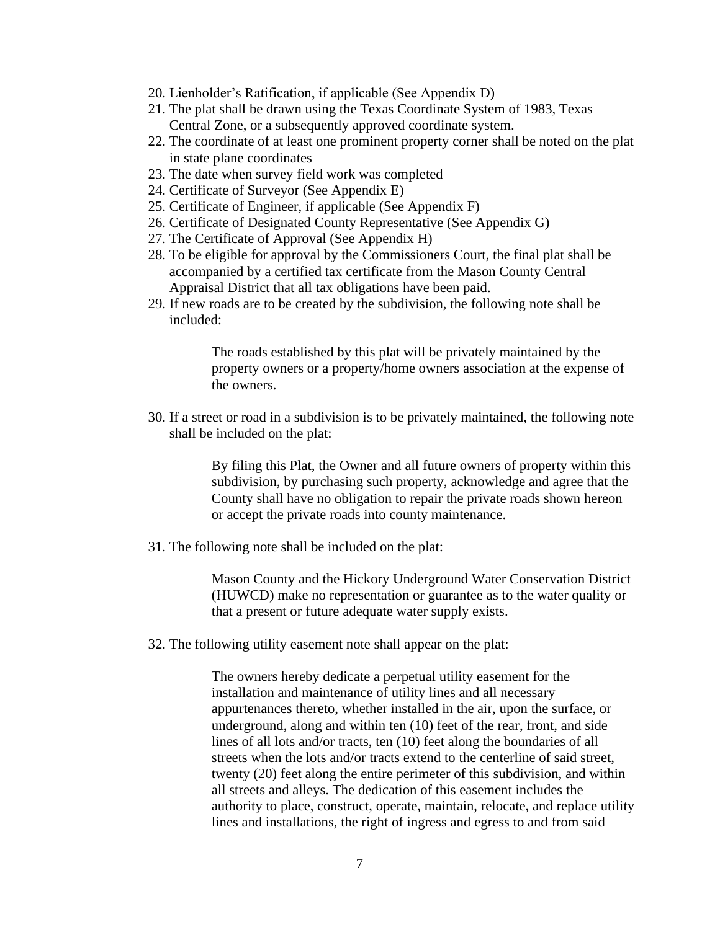- 20. Lienholder's Ratification, if applicable (See Appendix D)
- 21. The plat shall be drawn using the Texas Coordinate System of 1983, Texas Central Zone, or a subsequently approved coordinate system.
- 22. The coordinate of at least one prominent property corner shall be noted on the plat in state plane coordinates
- 23. The date when survey field work was completed
- 24. Certificate of Surveyor (See Appendix E)
- 25. Certificate of Engineer, if applicable (See Appendix F)
- 26. Certificate of Designated County Representative (See Appendix G)
- 27. The Certificate of Approval (See Appendix H)
- 28. To be eligible for approval by the Commissioners Court, the final plat shall be accompanied by a certified tax certificate from the Mason County Central Appraisal District that all tax obligations have been paid.
- 29. If new roads are to be created by the subdivision, the following note shall be included:

The roads established by this plat will be privately maintained by the property owners or a property/home owners association at the expense of the owners.

30. If a street or road in a subdivision is to be privately maintained, the following note shall be included on the plat:

> By filing this Plat, the Owner and all future owners of property within this subdivision, by purchasing such property, acknowledge and agree that the County shall have no obligation to repair the private roads shown hereon or accept the private roads into county maintenance.

31. The following note shall be included on the plat:

Mason County and the Hickory Underground Water Conservation District (HUWCD) make no representation or guarantee as to the water quality or that a present or future adequate water supply exists.

32. The following utility easement note shall appear on the plat:

The owners hereby dedicate a perpetual utility easement for the installation and maintenance of utility lines and all necessary appurtenances thereto, whether installed in the air, upon the surface, or underground, along and within ten (10) feet of the rear, front, and side lines of all lots and/or tracts, ten (10) feet along the boundaries of all streets when the lots and/or tracts extend to the centerline of said street, twenty (20) feet along the entire perimeter of this subdivision, and within all streets and alleys. The dedication of this easement includes the authority to place, construct, operate, maintain, relocate, and replace utility lines and installations, the right of ingress and egress to and from said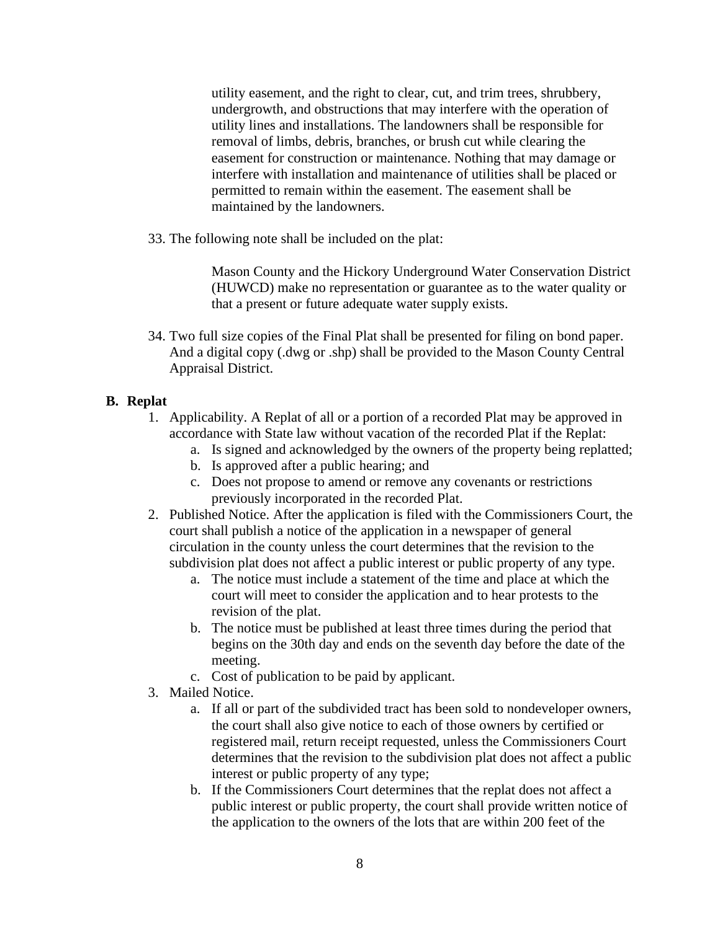utility easement, and the right to clear, cut, and trim trees, shrubbery, undergrowth, and obstructions that may interfere with the operation of utility lines and installations. The landowners shall be responsible for removal of limbs, debris, branches, or brush cut while clearing the easement for construction or maintenance. Nothing that may damage or interfere with installation and maintenance of utilities shall be placed or permitted to remain within the easement. The easement shall be maintained by the landowners.

33. The following note shall be included on the plat:

Mason County and the Hickory Underground Water Conservation District (HUWCD) make no representation or guarantee as to the water quality or that a present or future adequate water supply exists.

34. Two full size copies of the Final Plat shall be presented for filing on bond paper. And a digital copy (.dwg or .shp) shall be provided to the Mason County Central Appraisal District.

## **B. Replat**

- 1. Applicability. A Replat of all or a portion of a recorded Plat may be approved in accordance with State law without vacation of the recorded Plat if the Replat:
	- a. Is signed and acknowledged by the owners of the property being replatted;
	- b. Is approved after a public hearing; and
	- c. Does not propose to amend or remove any covenants or restrictions previously incorporated in the recorded Plat.
- 2. Published Notice. After the application is filed with the Commissioners Court, the court shall publish a notice of the application in a newspaper of general circulation in the county unless the court determines that the revision to the subdivision plat does not affect a public interest or public property of any type.
	- a. The notice must include a statement of the time and place at which the court will meet to consider the application and to hear protests to the revision of the plat.
	- b. The notice must be published at least three times during the period that begins on the 30th day and ends on the seventh day before the date of the meeting.
	- c. Cost of publication to be paid by applicant.
- 3. Mailed Notice.
	- a. If all or part of the subdivided tract has been sold to nondeveloper owners, the court shall also give notice to each of those owners by certified or registered mail, return receipt requested, unless the Commissioners Court determines that the revision to the subdivision plat does not affect a public interest or public property of any type;
	- b. If the Commissioners Court determines that the replat does not affect a public interest or public property, the court shall provide written notice of the application to the owners of the lots that are within 200 feet of the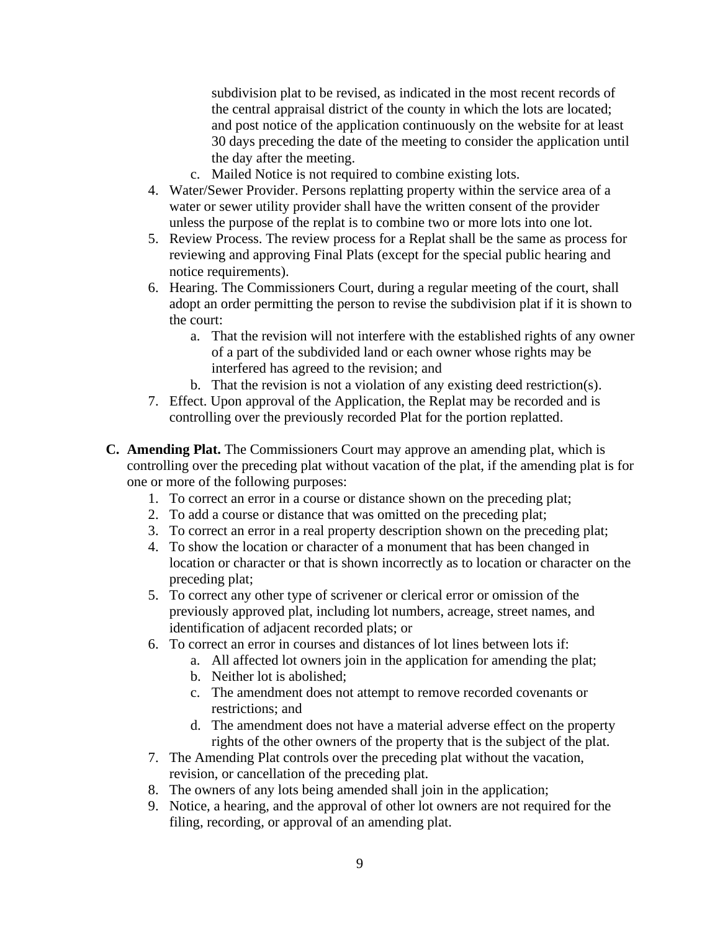subdivision plat to be revised, as indicated in the most recent records of the central appraisal district of the county in which the lots are located; and post notice of the application continuously on the website for at least 30 days preceding the date of the meeting to consider the application until the day after the meeting.

- c. Mailed Notice is not required to combine existing lots.
- 4. Water/Sewer Provider. Persons replatting property within the service area of a water or sewer utility provider shall have the written consent of the provider unless the purpose of the replat is to combine two or more lots into one lot.
- 5. Review Process. The review process for a Replat shall be the same as process for reviewing and approving Final Plats (except for the special public hearing and notice requirements).
- 6. Hearing. The Commissioners Court, during a regular meeting of the court, shall adopt an order permitting the person to revise the subdivision plat if it is shown to the court:
	- a. That the revision will not interfere with the established rights of any owner of a part of the subdivided land or each owner whose rights may be interfered has agreed to the revision; and
	- b. That the revision is not a violation of any existing deed restriction(s).
- 7. Effect. Upon approval of the Application, the Replat may be recorded and is controlling over the previously recorded Plat for the portion replatted.
- **C. Amending Plat.** The Commissioners Court may approve an amending plat, which is controlling over the preceding plat without vacation of the plat, if the amending plat is for one or more of the following purposes:
	- 1. To correct an error in a course or distance shown on the preceding plat;
	- 2. To add a course or distance that was omitted on the preceding plat;
	- 3. To correct an error in a real property description shown on the preceding plat;
	- 4. To show the location or character of a monument that has been changed in location or character or that is shown incorrectly as to location or character on the preceding plat;
	- 5. To correct any other type of scrivener or clerical error or omission of the previously approved plat, including lot numbers, acreage, street names, and identification of adjacent recorded plats; or
	- 6. To correct an error in courses and distances of lot lines between lots if:
		- a. All affected lot owners join in the application for amending the plat;
		- b. Neither lot is abolished;
		- c. The amendment does not attempt to remove recorded covenants or restrictions; and
		- d. The amendment does not have a material adverse effect on the property rights of the other owners of the property that is the subject of the plat.
	- 7. The Amending Plat controls over the preceding plat without the vacation, revision, or cancellation of the preceding plat.
	- 8. The owners of any lots being amended shall join in the application;
	- 9. Notice, a hearing, and the approval of other lot owners are not required for the filing, recording, or approval of an amending plat.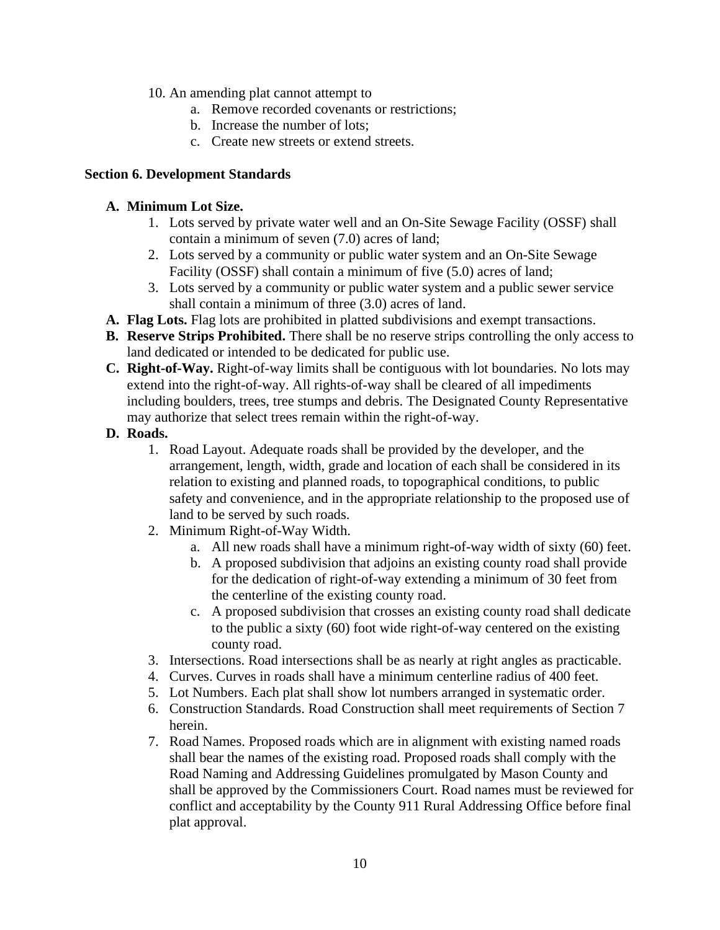- 10. An amending plat cannot attempt to
	- a. Remove recorded covenants or restrictions;
	- b. Increase the number of lots;
	- c. Create new streets or extend streets.

### **Section 6. Development Standards**

### **A. Minimum Lot Size.**

- 1. Lots served by private water well and an On-Site Sewage Facility (OSSF) shall contain a minimum of seven (7.0) acres of land;
- 2. Lots served by a community or public water system and an On-Site Sewage Facility (OSSF) shall contain a minimum of five (5.0) acres of land;
- 3. Lots served by a community or public water system and a public sewer service shall contain a minimum of three (3.0) acres of land.
- **A. Flag Lots.** Flag lots are prohibited in platted subdivisions and exempt transactions.
- **B. Reserve Strips Prohibited.** There shall be no reserve strips controlling the only access to land dedicated or intended to be dedicated for public use.
- **C. Right-of-Way.** Right-of-way limits shall be contiguous with lot boundaries. No lots may extend into the right-of-way. All rights-of-way shall be cleared of all impediments including boulders, trees, tree stumps and debris. The Designated County Representative may authorize that select trees remain within the right-of-way.
- **D. Roads.**
	- 1. Road Layout. Adequate roads shall be provided by the developer, and the arrangement, length, width, grade and location of each shall be considered in its relation to existing and planned roads, to topographical conditions, to public safety and convenience, and in the appropriate relationship to the proposed use of land to be served by such roads.
	- 2. Minimum Right-of-Way Width.
		- a. All new roads shall have a minimum right-of-way width of sixty (60) feet.
		- b. A proposed subdivision that adjoins an existing county road shall provide for the dedication of right-of-way extending a minimum of 30 feet from the centerline of the existing county road.
		- c. A proposed subdivision that crosses an existing county road shall dedicate to the public a sixty (60) foot wide right-of-way centered on the existing county road.
	- 3. Intersections. Road intersections shall be as nearly at right angles as practicable.
	- 4. Curves. Curves in roads shall have a minimum centerline radius of 400 feet.
	- 5. Lot Numbers. Each plat shall show lot numbers arranged in systematic order.
	- 6. Construction Standards. Road Construction shall meet requirements of Section 7 herein.
	- 7. Road Names. Proposed roads which are in alignment with existing named roads shall bear the names of the existing road. Proposed roads shall comply with the Road Naming and Addressing Guidelines promulgated by Mason County and shall be approved by the Commissioners Court. Road names must be reviewed for conflict and acceptability by the County 911 Rural Addressing Office before final plat approval.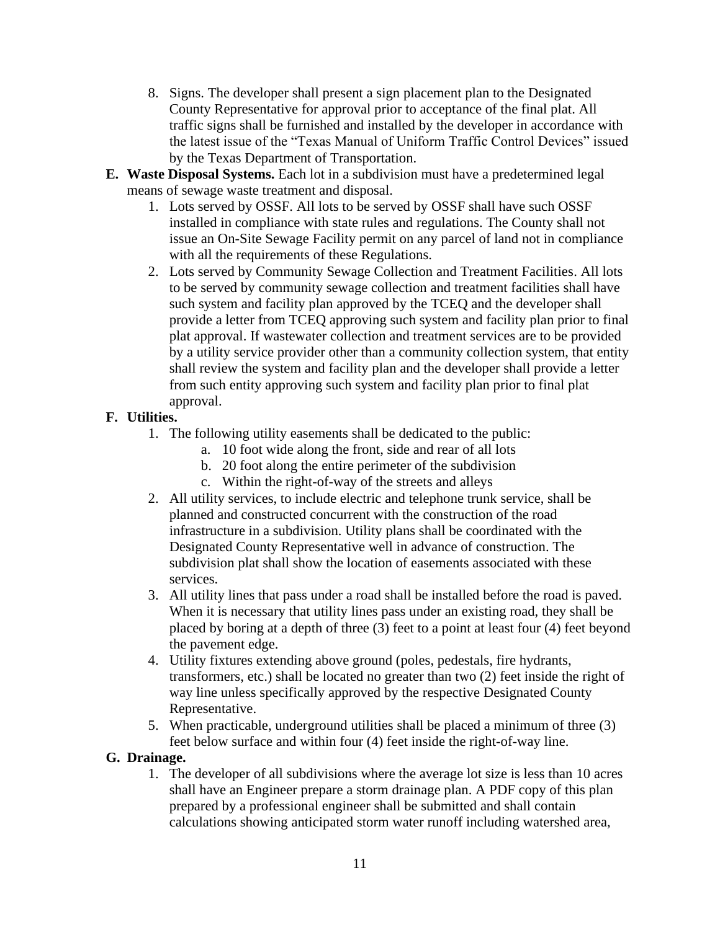- 8. Signs. The developer shall present a sign placement plan to the Designated County Representative for approval prior to acceptance of the final plat. All traffic signs shall be furnished and installed by the developer in accordance with the latest issue of the "Texas Manual of Uniform Traffic Control Devices" issued by the Texas Department of Transportation.
- **E. Waste Disposal Systems.** Each lot in a subdivision must have a predetermined legal means of sewage waste treatment and disposal.
	- 1. Lots served by OSSF. All lots to be served by OSSF shall have such OSSF installed in compliance with state rules and regulations. The County shall not issue an On-Site Sewage Facility permit on any parcel of land not in compliance with all the requirements of these Regulations.
	- 2. Lots served by Community Sewage Collection and Treatment Facilities. All lots to be served by community sewage collection and treatment facilities shall have such system and facility plan approved by the TCEQ and the developer shall provide a letter from TCEQ approving such system and facility plan prior to final plat approval. If wastewater collection and treatment services are to be provided by a utility service provider other than a community collection system, that entity shall review the system and facility plan and the developer shall provide a letter from such entity approving such system and facility plan prior to final plat approval.

## **F. Utilities.**

- 1. The following utility easements shall be dedicated to the public:
	- a. 10 foot wide along the front, side and rear of all lots
	- b. 20 foot along the entire perimeter of the subdivision
	- c. Within the right-of-way of the streets and alleys
- 2. All utility services, to include electric and telephone trunk service, shall be planned and constructed concurrent with the construction of the road infrastructure in a subdivision. Utility plans shall be coordinated with the Designated County Representative well in advance of construction. The subdivision plat shall show the location of easements associated with these services.
- 3. All utility lines that pass under a road shall be installed before the road is paved. When it is necessary that utility lines pass under an existing road, they shall be placed by boring at a depth of three (3) feet to a point at least four (4) feet beyond the pavement edge.
- 4. Utility fixtures extending above ground (poles, pedestals, fire hydrants, transformers, etc.) shall be located no greater than two (2) feet inside the right of way line unless specifically approved by the respective Designated County Representative.
- 5. When practicable, underground utilities shall be placed a minimum of three (3) feet below surface and within four (4) feet inside the right-of-way line.

### **G. Drainage.**

1. The developer of all subdivisions where the average lot size is less than 10 acres shall have an Engineer prepare a storm drainage plan. A PDF copy of this plan prepared by a professional engineer shall be submitted and shall contain calculations showing anticipated storm water runoff including watershed area,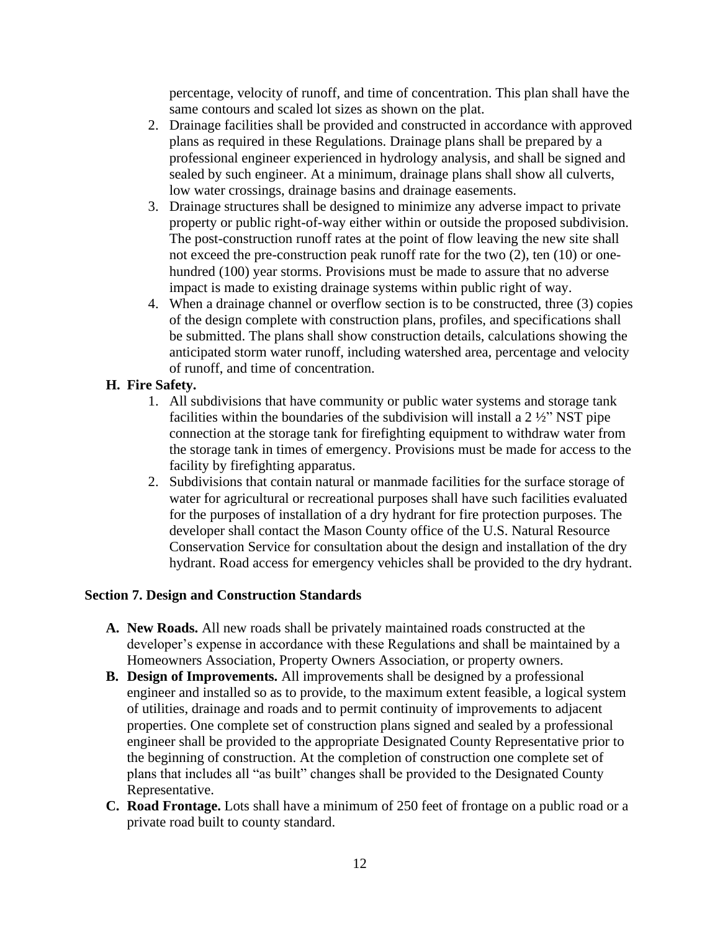percentage, velocity of runoff, and time of concentration. This plan shall have the same contours and scaled lot sizes as shown on the plat.

- 2. Drainage facilities shall be provided and constructed in accordance with approved plans as required in these Regulations. Drainage plans shall be prepared by a professional engineer experienced in hydrology analysis, and shall be signed and sealed by such engineer. At a minimum, drainage plans shall show all culverts, low water crossings, drainage basins and drainage easements.
- 3. Drainage structures shall be designed to minimize any adverse impact to private property or public right-of-way either within or outside the proposed subdivision. The post-construction runoff rates at the point of flow leaving the new site shall not exceed the pre-construction peak runoff rate for the two (2), ten (10) or onehundred (100) year storms. Provisions must be made to assure that no adverse impact is made to existing drainage systems within public right of way.
- 4. When a drainage channel or overflow section is to be constructed, three (3) copies of the design complete with construction plans, profiles, and specifications shall be submitted. The plans shall show construction details, calculations showing the anticipated storm water runoff, including watershed area, percentage and velocity of runoff, and time of concentration.

### **H. Fire Safety.**

- 1. All subdivisions that have community or public water systems and storage tank facilities within the boundaries of the subdivision will install a 2 ½" NST pipe connection at the storage tank for firefighting equipment to withdraw water from the storage tank in times of emergency. Provisions must be made for access to the facility by firefighting apparatus.
- 2. Subdivisions that contain natural or manmade facilities for the surface storage of water for agricultural or recreational purposes shall have such facilities evaluated for the purposes of installation of a dry hydrant for fire protection purposes. The developer shall contact the Mason County office of the U.S. Natural Resource Conservation Service for consultation about the design and installation of the dry hydrant. Road access for emergency vehicles shall be provided to the dry hydrant.

#### **Section 7. Design and Construction Standards**

- **A. New Roads.** All new roads shall be privately maintained roads constructed at the developer's expense in accordance with these Regulations and shall be maintained by a Homeowners Association, Property Owners Association, or property owners.
- **B. Design of Improvements.** All improvements shall be designed by a professional engineer and installed so as to provide, to the maximum extent feasible, a logical system of utilities, drainage and roads and to permit continuity of improvements to adjacent properties. One complete set of construction plans signed and sealed by a professional engineer shall be provided to the appropriate Designated County Representative prior to the beginning of construction. At the completion of construction one complete set of plans that includes all "as built" changes shall be provided to the Designated County Representative.
- **C. Road Frontage.** Lots shall have a minimum of 250 feet of frontage on a public road or a private road built to county standard.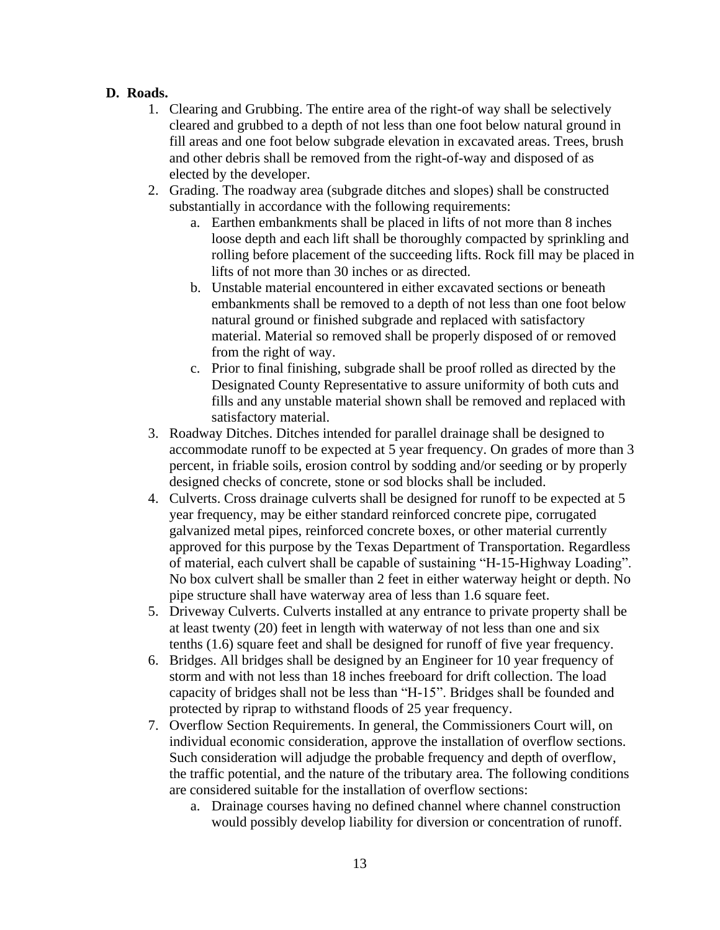### **D. Roads.**

- 1. Clearing and Grubbing. The entire area of the right-of way shall be selectively cleared and grubbed to a depth of not less than one foot below natural ground in fill areas and one foot below subgrade elevation in excavated areas. Trees, brush and other debris shall be removed from the right-of-way and disposed of as elected by the developer.
- 2. Grading. The roadway area (subgrade ditches and slopes) shall be constructed substantially in accordance with the following requirements:
	- a. Earthen embankments shall be placed in lifts of not more than 8 inches loose depth and each lift shall be thoroughly compacted by sprinkling and rolling before placement of the succeeding lifts. Rock fill may be placed in lifts of not more than 30 inches or as directed.
	- b. Unstable material encountered in either excavated sections or beneath embankments shall be removed to a depth of not less than one foot below natural ground or finished subgrade and replaced with satisfactory material. Material so removed shall be properly disposed of or removed from the right of way.
	- c. Prior to final finishing, subgrade shall be proof rolled as directed by the Designated County Representative to assure uniformity of both cuts and fills and any unstable material shown shall be removed and replaced with satisfactory material.
- 3. Roadway Ditches. Ditches intended for parallel drainage shall be designed to accommodate runoff to be expected at 5 year frequency. On grades of more than 3 percent, in friable soils, erosion control by sodding and/or seeding or by properly designed checks of concrete, stone or sod blocks shall be included.
- 4. Culverts. Cross drainage culverts shall be designed for runoff to be expected at 5 year frequency, may be either standard reinforced concrete pipe, corrugated galvanized metal pipes, reinforced concrete boxes, or other material currently approved for this purpose by the Texas Department of Transportation. Regardless of material, each culvert shall be capable of sustaining "H-15-Highway Loading". No box culvert shall be smaller than 2 feet in either waterway height or depth. No pipe structure shall have waterway area of less than 1.6 square feet.
- 5. Driveway Culverts. Culverts installed at any entrance to private property shall be at least twenty (20) feet in length with waterway of not less than one and six tenths (1.6) square feet and shall be designed for runoff of five year frequency.
- 6. Bridges. All bridges shall be designed by an Engineer for 10 year frequency of storm and with not less than 18 inches freeboard for drift collection. The load capacity of bridges shall not be less than "H-15". Bridges shall be founded and protected by riprap to withstand floods of 25 year frequency.
- 7. Overflow Section Requirements. In general, the Commissioners Court will, on individual economic consideration, approve the installation of overflow sections. Such consideration will adjudge the probable frequency and depth of overflow, the traffic potential, and the nature of the tributary area. The following conditions are considered suitable for the installation of overflow sections:
	- a. Drainage courses having no defined channel where channel construction would possibly develop liability for diversion or concentration of runoff.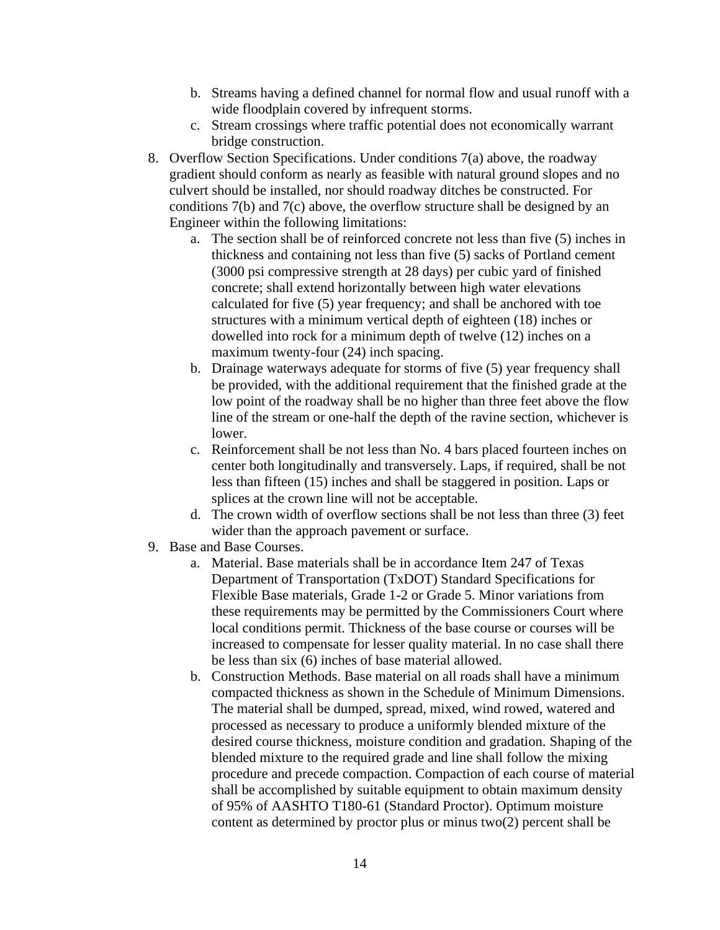- b. Streams having a defined channel for normal flow and usual runoff with a wide floodplain covered by infrequent storms.
- c. Stream crossings where traffic potential does not economically warrant bridge construction.
- 8. Overflow Section Specifications. Under conditions 7(a) above, the roadway gradient should conform as nearly as feasible with natural ground slopes and no culvert should be installed, nor should roadway ditches be constructed. For conditions 7(b) and 7(c) above, the overflow structure shall be designed by an Engineer within the following limitations:
	- a. The section shall be of reinforced concrete not less than five (5) inches in thickness and containing not less than five (5) sacks of Portland cement (3000 psi compressive strength at 28 days) per cubic yard of finished concrete; shall extend horizontally between high water elevations calculated for five (5) year frequency; and shall be anchored with toe structures with a minimum vertical depth of eighteen (18) inches or dowelled into rock for a minimum depth of twelve (12) inches on a maximum twenty-four (24) inch spacing.
	- b. Drainage waterways adequate for storms of five (5) year frequency shall be provided, with the additional requirement that the finished grade at the low point of the roadway shall be no higher than three feet above the flow line of the stream or one-half the depth of the ravine section, whichever is lower.
	- c. Reinforcement shall be not less than No. 4 bars placed fourteen inches on center both longitudinally and transversely. Laps, if required, shall be not less than fifteen (15) inches and shall be staggered in position. Laps or splices at the crown line will not be acceptable.
	- d. The crown width of overflow sections shall be not less than three (3) feet wider than the approach pavement or surface.
- 9. Base and Base Courses.
	- a. Material. Base materials shall be in accordance Item 247 of Texas Department of Transportation (TxDOT) Standard Specifications for Flexible Base materials, Grade 1-2 or Grade 5. Minor variations from these requirements may be permitted by the Commissioners Court where local conditions permit. Thickness of the base course or courses will be increased to compensate for lesser quality material. In no case shall there be less than six (6) inches of base material allowed.
	- b. Construction Methods. Base material on all roads shall have a minimum compacted thickness as shown in the Schedule of Minimum Dimensions. The material shall be dumped, spread, mixed, wind rowed, watered and processed as necessary to produce a uniformly blended mixture of the desired course thickness, moisture condition and gradation. Shaping of the blended mixture to the required grade and line shall follow the mixing procedure and precede compaction. Compaction of each course of material shall be accomplished by suitable equipment to obtain maximum density of 95% of AASHTO T180-61 (Standard Proctor). Optimum moisture content as determined by proctor plus or minus two(2) percent shall be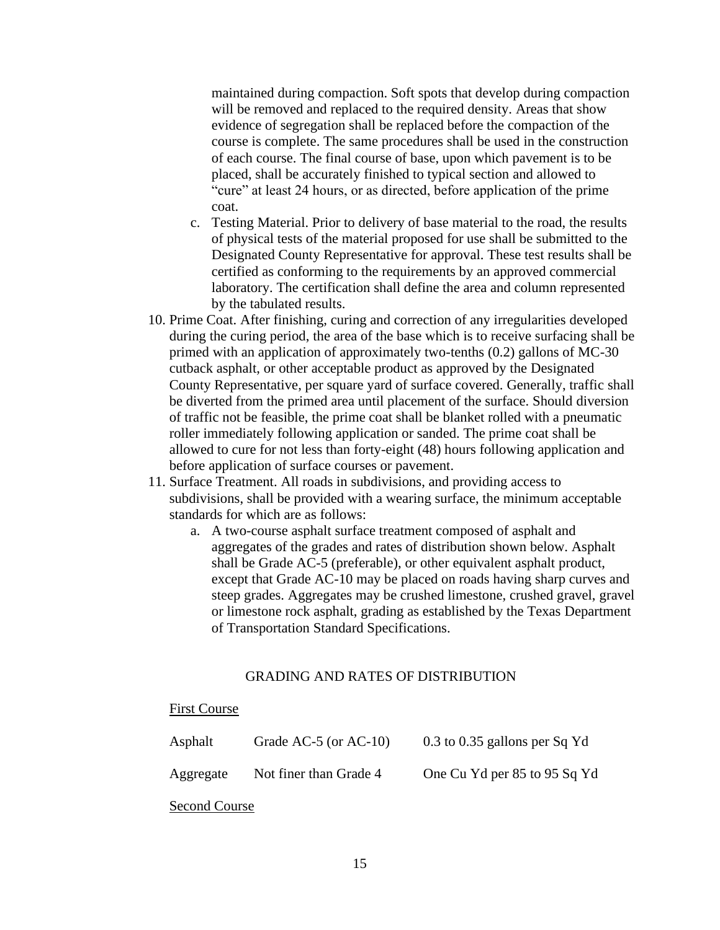maintained during compaction. Soft spots that develop during compaction will be removed and replaced to the required density. Areas that show evidence of segregation shall be replaced before the compaction of the course is complete. The same procedures shall be used in the construction of each course. The final course of base, upon which pavement is to be placed, shall be accurately finished to typical section and allowed to "cure" at least 24 hours, or as directed, before application of the prime coat.

- c. Testing Material. Prior to delivery of base material to the road, the results of physical tests of the material proposed for use shall be submitted to the Designated County Representative for approval. These test results shall be certified as conforming to the requirements by an approved commercial laboratory. The certification shall define the area and column represented by the tabulated results.
- 10. Prime Coat. After finishing, curing and correction of any irregularities developed during the curing period, the area of the base which is to receive surfacing shall be primed with an application of approximately two-tenths (0.2) gallons of MC-30 cutback asphalt, or other acceptable product as approved by the Designated County Representative, per square yard of surface covered. Generally, traffic shall be diverted from the primed area until placement of the surface. Should diversion of traffic not be feasible, the prime coat shall be blanket rolled with a pneumatic roller immediately following application or sanded. The prime coat shall be allowed to cure for not less than forty-eight (48) hours following application and before application of surface courses or pavement.
- 11. Surface Treatment. All roads in subdivisions, and providing access to subdivisions, shall be provided with a wearing surface, the minimum acceptable standards for which are as follows:
	- a. A two-course asphalt surface treatment composed of asphalt and aggregates of the grades and rates of distribution shown below. Asphalt shall be Grade AC-5 (preferable), or other equivalent asphalt product, except that Grade AC-10 may be placed on roads having sharp curves and steep grades. Aggregates may be crushed limestone, crushed gravel, gravel or limestone rock asphalt, grading as established by the Texas Department of Transportation Standard Specifications.

#### GRADING AND RATES OF DISTRIBUTION

#### First Course

| Asphalt   | Grade AC-5 (or $AC-10$ ) | $0.3$ to $0.35$ gallons per Sq Yd |
|-----------|--------------------------|-----------------------------------|
| Aggregate | Not finer than Grade 4   | One Cu Yd per 85 to 95 Sq Yd      |

Second Course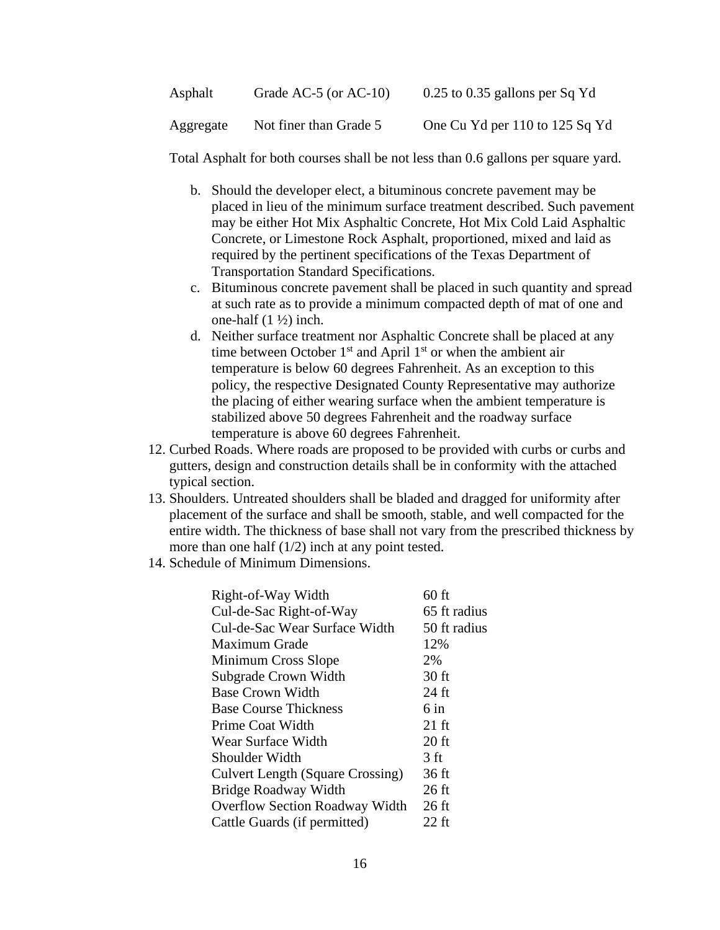| Asphalt   | Grade AC-5 (or $AC-10$ ) | $0.25$ to 0.35 gallons per Sq Yd |
|-----------|--------------------------|----------------------------------|
| Aggregate | Not finer than Grade 5   | One Cu Yd per 110 to 125 Sq Yd   |

Total Asphalt for both courses shall be not less than 0.6 gallons per square yard.

- b. Should the developer elect, a bituminous concrete pavement may be placed in lieu of the minimum surface treatment described. Such pavement may be either Hot Mix Asphaltic Concrete, Hot Mix Cold Laid Asphaltic Concrete, or Limestone Rock Asphalt, proportioned, mixed and laid as required by the pertinent specifications of the Texas Department of Transportation Standard Specifications.
- c. Bituminous concrete pavement shall be placed in such quantity and spread at such rate as to provide a minimum compacted depth of mat of one and one-half  $(1 \frac{1}{2})$  inch.
- d. Neither surface treatment nor Asphaltic Concrete shall be placed at any time between October  $1<sup>st</sup>$  and April  $1<sup>st</sup>$  or when the ambient air temperature is below 60 degrees Fahrenheit. As an exception to this policy, the respective Designated County Representative may authorize the placing of either wearing surface when the ambient temperature is stabilized above 50 degrees Fahrenheit and the roadway surface temperature is above 60 degrees Fahrenheit.
- 12. Curbed Roads. Where roads are proposed to be provided with curbs or curbs and gutters, design and construction details shall be in conformity with the attached typical section.
- 13. Shoulders. Untreated shoulders shall be bladed and dragged for uniformity after placement of the surface and shall be smooth, stable, and well compacted for the entire width. The thickness of base shall not vary from the prescribed thickness by more than one half  $(1/2)$  inch at any point tested.
- 14. Schedule of Minimum Dimensions.

| Right-of-Way Width                      | $60$ ft         |
|-----------------------------------------|-----------------|
| Cul-de-Sac Right-of-Way                 | 65 ft radius    |
| Cul-de-Sac Wear Surface Width           | 50 ft radius    |
| Maximum Grade                           | 12%             |
| Minimum Cross Slope                     | 2%              |
| Subgrade Crown Width                    | $30$ ft         |
| <b>Base Crown Width</b>                 | 24 ft           |
| <b>Base Course Thickness</b>            | $6$ in          |
| Prime Coat Width                        | $21 \text{ ft}$ |
| Wear Surface Width                      | $20$ ft         |
| Shoulder Width                          | 3 ft            |
| <b>Culvert Length (Square Crossing)</b> | 36 ft           |
| Bridge Roadway Width                    | 26 ft           |
| Overflow Section Roadway Width          | $26$ ft         |
| Cattle Guards (if permitted)            | $22$ ft         |
|                                         |                 |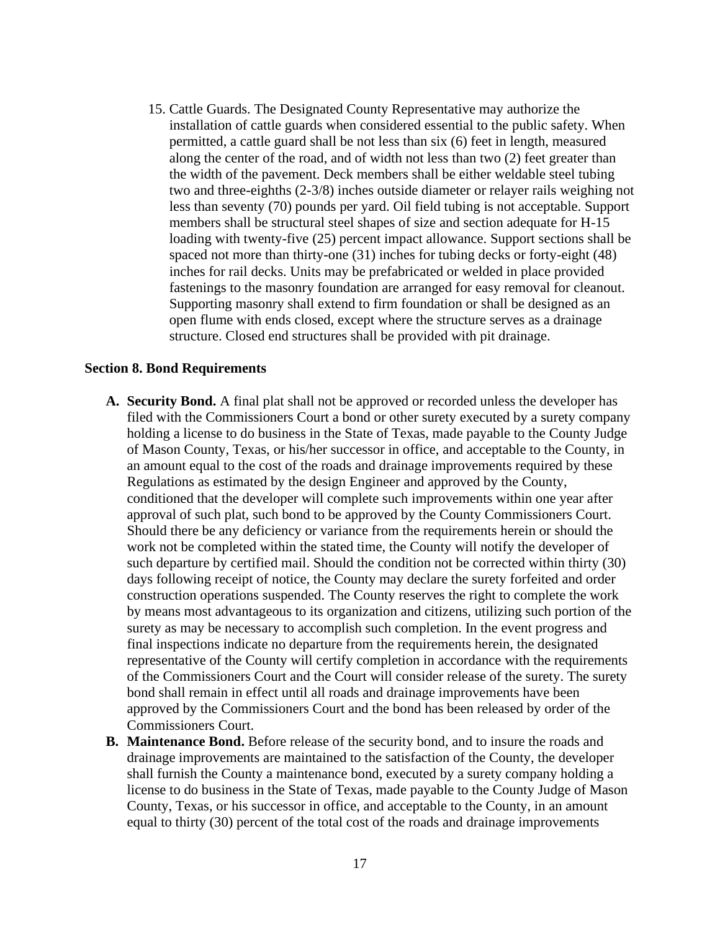15. Cattle Guards. The Designated County Representative may authorize the installation of cattle guards when considered essential to the public safety. When permitted, a cattle guard shall be not less than six (6) feet in length, measured along the center of the road, and of width not less than two (2) feet greater than the width of the pavement. Deck members shall be either weldable steel tubing two and three-eighths (2-3/8) inches outside diameter or relayer rails weighing not less than seventy (70) pounds per yard. Oil field tubing is not acceptable. Support members shall be structural steel shapes of size and section adequate for H-15 loading with twenty-five (25) percent impact allowance. Support sections shall be spaced not more than thirty-one (31) inches for tubing decks or forty-eight (48) inches for rail decks. Units may be prefabricated or welded in place provided fastenings to the masonry foundation are arranged for easy removal for cleanout. Supporting masonry shall extend to firm foundation or shall be designed as an open flume with ends closed, except where the structure serves as a drainage structure. Closed end structures shall be provided with pit drainage.

#### **Section 8. Bond Requirements**

- **A. Security Bond.** A final plat shall not be approved or recorded unless the developer has filed with the Commissioners Court a bond or other surety executed by a surety company holding a license to do business in the State of Texas, made payable to the County Judge of Mason County, Texas, or his/her successor in office, and acceptable to the County, in an amount equal to the cost of the roads and drainage improvements required by these Regulations as estimated by the design Engineer and approved by the County, conditioned that the developer will complete such improvements within one year after approval of such plat, such bond to be approved by the County Commissioners Court. Should there be any deficiency or variance from the requirements herein or should the work not be completed within the stated time, the County will notify the developer of such departure by certified mail. Should the condition not be corrected within thirty (30) days following receipt of notice, the County may declare the surety forfeited and order construction operations suspended. The County reserves the right to complete the work by means most advantageous to its organization and citizens, utilizing such portion of the surety as may be necessary to accomplish such completion. In the event progress and final inspections indicate no departure from the requirements herein, the designated representative of the County will certify completion in accordance with the requirements of the Commissioners Court and the Court will consider release of the surety. The surety bond shall remain in effect until all roads and drainage improvements have been approved by the Commissioners Court and the bond has been released by order of the Commissioners Court.
- **B. Maintenance Bond.** Before release of the security bond, and to insure the roads and drainage improvements are maintained to the satisfaction of the County, the developer shall furnish the County a maintenance bond, executed by a surety company holding a license to do business in the State of Texas, made payable to the County Judge of Mason County, Texas, or his successor in office, and acceptable to the County, in an amount equal to thirty (30) percent of the total cost of the roads and drainage improvements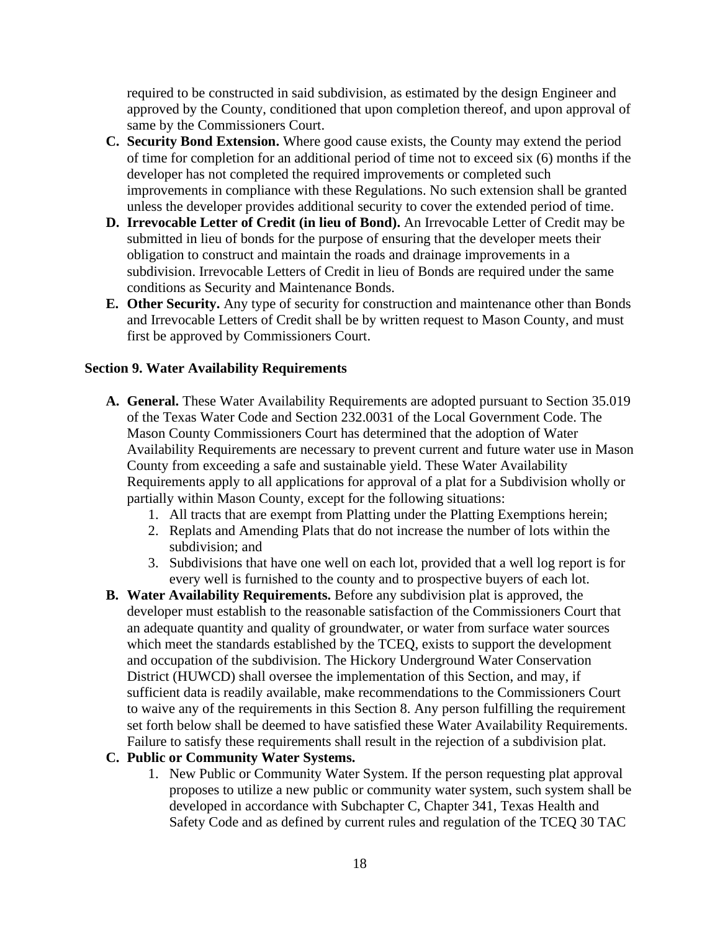required to be constructed in said subdivision, as estimated by the design Engineer and approved by the County, conditioned that upon completion thereof, and upon approval of same by the Commissioners Court.

- **C. Security Bond Extension.** Where good cause exists, the County may extend the period of time for completion for an additional period of time not to exceed six (6) months if the developer has not completed the required improvements or completed such improvements in compliance with these Regulations. No such extension shall be granted unless the developer provides additional security to cover the extended period of time.
- **D. Irrevocable Letter of Credit (in lieu of Bond).** An Irrevocable Letter of Credit may be submitted in lieu of bonds for the purpose of ensuring that the developer meets their obligation to construct and maintain the roads and drainage improvements in a subdivision. Irrevocable Letters of Credit in lieu of Bonds are required under the same conditions as Security and Maintenance Bonds.
- **E. Other Security.** Any type of security for construction and maintenance other than Bonds and Irrevocable Letters of Credit shall be by written request to Mason County, and must first be approved by Commissioners Court.

### **Section 9. Water Availability Requirements**

- **A. General.** These Water Availability Requirements are adopted pursuant to Section 35.019 of the Texas Water Code and Section 232.0031 of the Local Government Code. The Mason County Commissioners Court has determined that the adoption of Water Availability Requirements are necessary to prevent current and future water use in Mason County from exceeding a safe and sustainable yield. These Water Availability Requirements apply to all applications for approval of a plat for a Subdivision wholly or partially within Mason County, except for the following situations:
	- 1. All tracts that are exempt from Platting under the Platting Exemptions herein;
	- 2. Replats and Amending Plats that do not increase the number of lots within the subdivision; and
	- 3. Subdivisions that have one well on each lot, provided that a well log report is for every well is furnished to the county and to prospective buyers of each lot.
- **B. Water Availability Requirements.** Before any subdivision plat is approved, the developer must establish to the reasonable satisfaction of the Commissioners Court that an adequate quantity and quality of groundwater, or water from surface water sources which meet the standards established by the TCEQ, exists to support the development and occupation of the subdivision. The Hickory Underground Water Conservation District (HUWCD) shall oversee the implementation of this Section, and may, if sufficient data is readily available, make recommendations to the Commissioners Court to waive any of the requirements in this Section 8. Any person fulfilling the requirement set forth below shall be deemed to have satisfied these Water Availability Requirements. Failure to satisfy these requirements shall result in the rejection of a subdivision plat.

#### **C. Public or Community Water Systems.**

1. New Public or Community Water System. If the person requesting plat approval proposes to utilize a new public or community water system, such system shall be developed in accordance with Subchapter C, Chapter 341, Texas Health and Safety Code and as defined by current rules and regulation of the TCEQ 30 TAC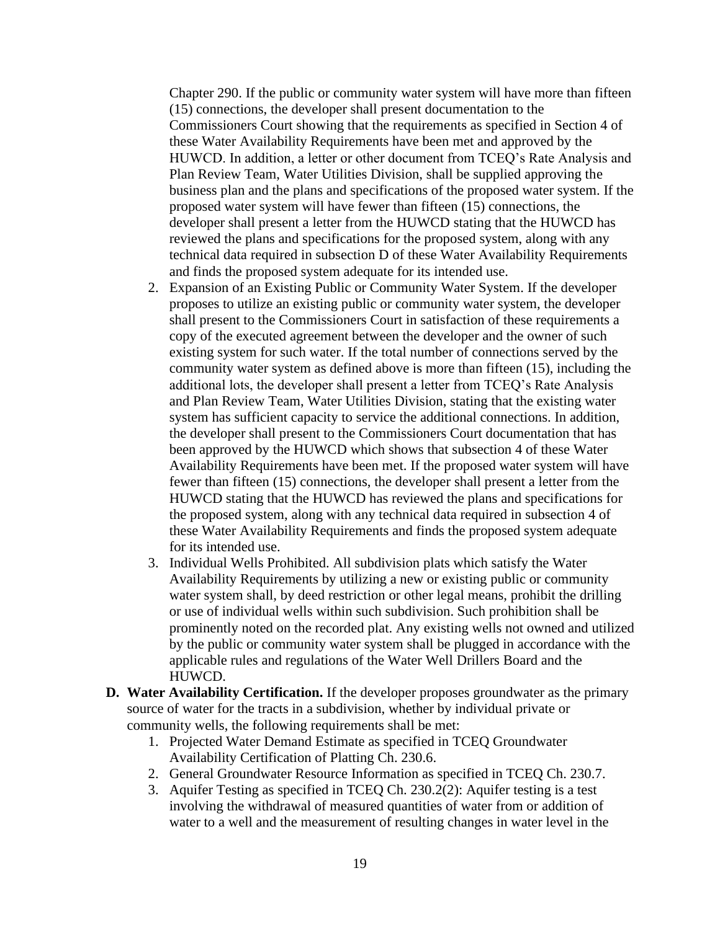Chapter 290. If the public or community water system will have more than fifteen (15) connections, the developer shall present documentation to the Commissioners Court showing that the requirements as specified in Section 4 of these Water Availability Requirements have been met and approved by the HUWCD. In addition, a letter or other document from TCEQ's Rate Analysis and Plan Review Team, Water Utilities Division, shall be supplied approving the business plan and the plans and specifications of the proposed water system. If the proposed water system will have fewer than fifteen (15) connections, the developer shall present a letter from the HUWCD stating that the HUWCD has reviewed the plans and specifications for the proposed system, along with any technical data required in subsection D of these Water Availability Requirements and finds the proposed system adequate for its intended use.

- 2. Expansion of an Existing Public or Community Water System. If the developer proposes to utilize an existing public or community water system, the developer shall present to the Commissioners Court in satisfaction of these requirements a copy of the executed agreement between the developer and the owner of such existing system for such water. If the total number of connections served by the community water system as defined above is more than fifteen (15), including the additional lots, the developer shall present a letter from TCEQ's Rate Analysis and Plan Review Team, Water Utilities Division, stating that the existing water system has sufficient capacity to service the additional connections. In addition, the developer shall present to the Commissioners Court documentation that has been approved by the HUWCD which shows that subsection 4 of these Water Availability Requirements have been met. If the proposed water system will have fewer than fifteen (15) connections, the developer shall present a letter from the HUWCD stating that the HUWCD has reviewed the plans and specifications for the proposed system, along with any technical data required in subsection 4 of these Water Availability Requirements and finds the proposed system adequate for its intended use.
- 3. Individual Wells Prohibited. All subdivision plats which satisfy the Water Availability Requirements by utilizing a new or existing public or community water system shall, by deed restriction or other legal means, prohibit the drilling or use of individual wells within such subdivision. Such prohibition shall be prominently noted on the recorded plat. Any existing wells not owned and utilized by the public or community water system shall be plugged in accordance with the applicable rules and regulations of the Water Well Drillers Board and the HUWCD.
- **D. Water Availability Certification.** If the developer proposes groundwater as the primary source of water for the tracts in a subdivision, whether by individual private or community wells, the following requirements shall be met:
	- 1. Projected Water Demand Estimate as specified in TCEQ Groundwater Availability Certification of Platting Ch. 230.6.
	- 2. General Groundwater Resource Information as specified in TCEQ Ch. 230.7.
	- 3. Aquifer Testing as specified in TCEQ Ch. 230.2(2): Aquifer testing is a test involving the withdrawal of measured quantities of water from or addition of water to a well and the measurement of resulting changes in water level in the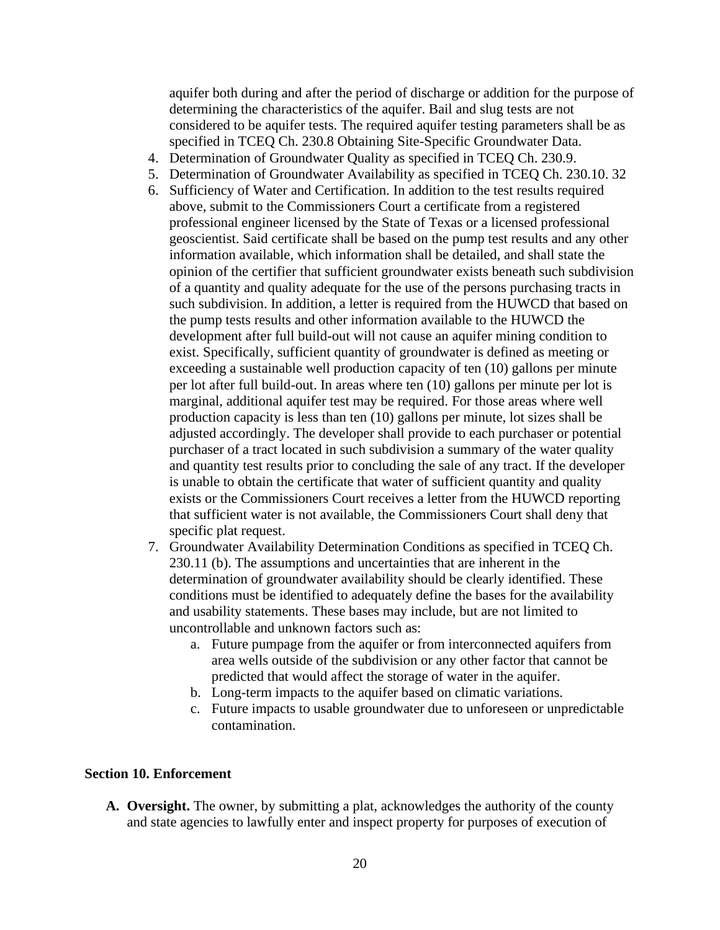aquifer both during and after the period of discharge or addition for the purpose of determining the characteristics of the aquifer. Bail and slug tests are not considered to be aquifer tests. The required aquifer testing parameters shall be as specified in TCEQ Ch. 230.8 Obtaining Site-Specific Groundwater Data.

- 4. Determination of Groundwater Quality as specified in TCEQ Ch. 230.9.
- 5. Determination of Groundwater Availability as specified in TCEQ Ch. 230.10. 32
- 6. Sufficiency of Water and Certification. In addition to the test results required above, submit to the Commissioners Court a certificate from a registered professional engineer licensed by the State of Texas or a licensed professional geoscientist. Said certificate shall be based on the pump test results and any other information available, which information shall be detailed, and shall state the opinion of the certifier that sufficient groundwater exists beneath such subdivision of a quantity and quality adequate for the use of the persons purchasing tracts in such subdivision. In addition, a letter is required from the HUWCD that based on the pump tests results and other information available to the HUWCD the development after full build-out will not cause an aquifer mining condition to exist. Specifically, sufficient quantity of groundwater is defined as meeting or exceeding a sustainable well production capacity of ten (10) gallons per minute per lot after full build-out. In areas where ten (10) gallons per minute per lot is marginal, additional aquifer test may be required. For those areas where well production capacity is less than ten (10) gallons per minute, lot sizes shall be adjusted accordingly. The developer shall provide to each purchaser or potential purchaser of a tract located in such subdivision a summary of the water quality and quantity test results prior to concluding the sale of any tract. If the developer is unable to obtain the certificate that water of sufficient quantity and quality exists or the Commissioners Court receives a letter from the HUWCD reporting that sufficient water is not available, the Commissioners Court shall deny that specific plat request.
- 7. Groundwater Availability Determination Conditions as specified in TCEQ Ch. 230.11 (b). The assumptions and uncertainties that are inherent in the determination of groundwater availability should be clearly identified. These conditions must be identified to adequately define the bases for the availability and usability statements. These bases may include, but are not limited to uncontrollable and unknown factors such as:
	- a. Future pumpage from the aquifer or from interconnected aquifers from area wells outside of the subdivision or any other factor that cannot be predicted that would affect the storage of water in the aquifer.
	- b. Long-term impacts to the aquifer based on climatic variations.
	- c. Future impacts to usable groundwater due to unforeseen or unpredictable contamination.

#### **Section 10. Enforcement**

**A. Oversight.** The owner, by submitting a plat, acknowledges the authority of the county and state agencies to lawfully enter and inspect property for purposes of execution of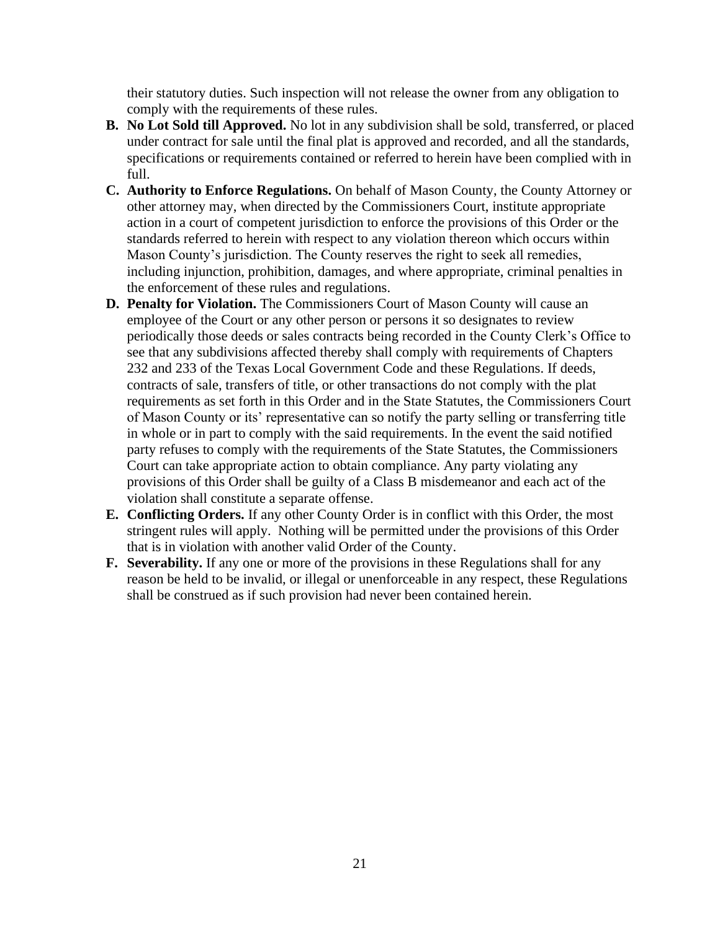their statutory duties. Such inspection will not release the owner from any obligation to comply with the requirements of these rules.

- **B. No Lot Sold till Approved.** No lot in any subdivision shall be sold, transferred, or placed under contract for sale until the final plat is approved and recorded, and all the standards, specifications or requirements contained or referred to herein have been complied with in full.
- **C. Authority to Enforce Regulations.** On behalf of Mason County, the County Attorney or other attorney may, when directed by the Commissioners Court, institute appropriate action in a court of competent jurisdiction to enforce the provisions of this Order or the standards referred to herein with respect to any violation thereon which occurs within Mason County's jurisdiction. The County reserves the right to seek all remedies, including injunction, prohibition, damages, and where appropriate, criminal penalties in the enforcement of these rules and regulations.
- **D. Penalty for Violation.** The Commissioners Court of Mason County will cause an employee of the Court or any other person or persons it so designates to review periodically those deeds or sales contracts being recorded in the County Clerk's Office to see that any subdivisions affected thereby shall comply with requirements of Chapters 232 and 233 of the Texas Local Government Code and these Regulations. If deeds, contracts of sale, transfers of title, or other transactions do not comply with the plat requirements as set forth in this Order and in the State Statutes, the Commissioners Court of Mason County or its' representative can so notify the party selling or transferring title in whole or in part to comply with the said requirements. In the event the said notified party refuses to comply with the requirements of the State Statutes, the Commissioners Court can take appropriate action to obtain compliance. Any party violating any provisions of this Order shall be guilty of a Class B misdemeanor and each act of the violation shall constitute a separate offense.
- **E. Conflicting Orders.** If any other County Order is in conflict with this Order, the most stringent rules will apply. Nothing will be permitted under the provisions of this Order that is in violation with another valid Order of the County.
- **F. Severability.** If any one or more of the provisions in these Regulations shall for any reason be held to be invalid, or illegal or unenforceable in any respect, these Regulations shall be construed as if such provision had never been contained herein.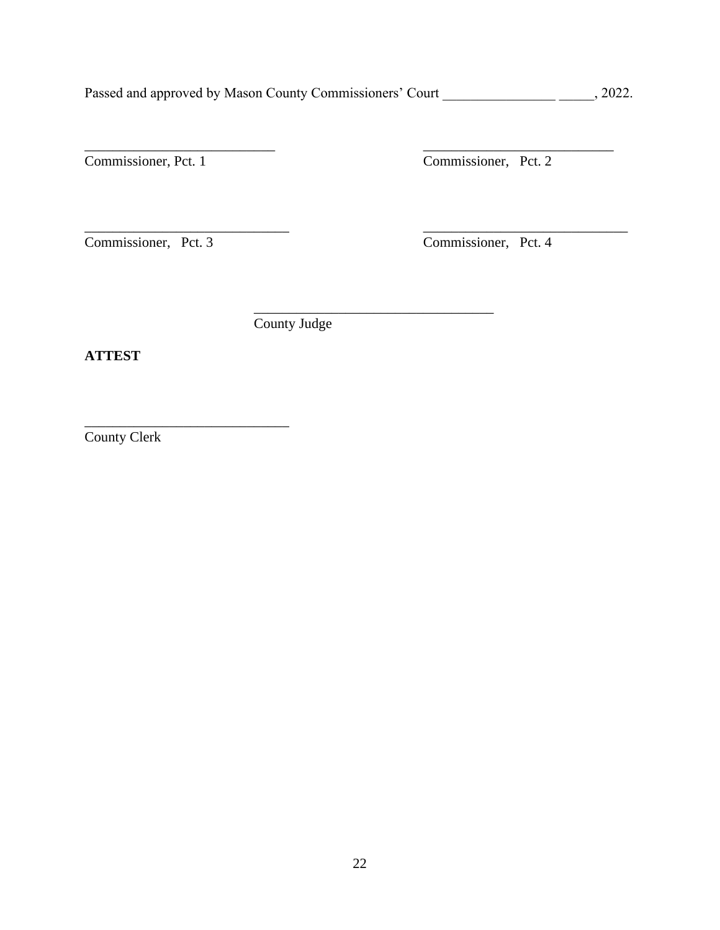Passed and approved by Mason County Commissioners' Court \_\_\_\_\_\_\_\_\_\_\_\_\_\_\_\_\_\_\_\_\_\_\_, 2022.

\_\_\_\_\_\_\_\_\_\_\_\_\_\_\_\_\_\_\_\_\_\_\_\_\_\_\_ \_\_\_\_\_\_\_\_\_\_\_\_\_\_\_\_\_\_\_\_\_\_\_\_\_\_\_

\_\_\_\_\_\_\_\_\_\_\_\_\_\_\_\_\_\_\_\_\_\_\_\_\_\_\_\_\_ \_\_\_\_\_\_\_\_\_\_\_\_\_\_\_\_\_\_\_\_\_\_\_\_\_\_\_\_\_

\_\_\_\_\_\_\_\_\_\_\_\_\_\_\_\_\_\_\_\_\_\_\_\_\_\_\_\_\_\_\_\_\_\_

Commissioner, Pct. 1 Commissioner, Pct. 2

Commissioner, Pct. 3 Commissioner, Pct. 4

County Judge

**ATTEST**

County Clerk

\_\_\_\_\_\_\_\_\_\_\_\_\_\_\_\_\_\_\_\_\_\_\_\_\_\_\_\_\_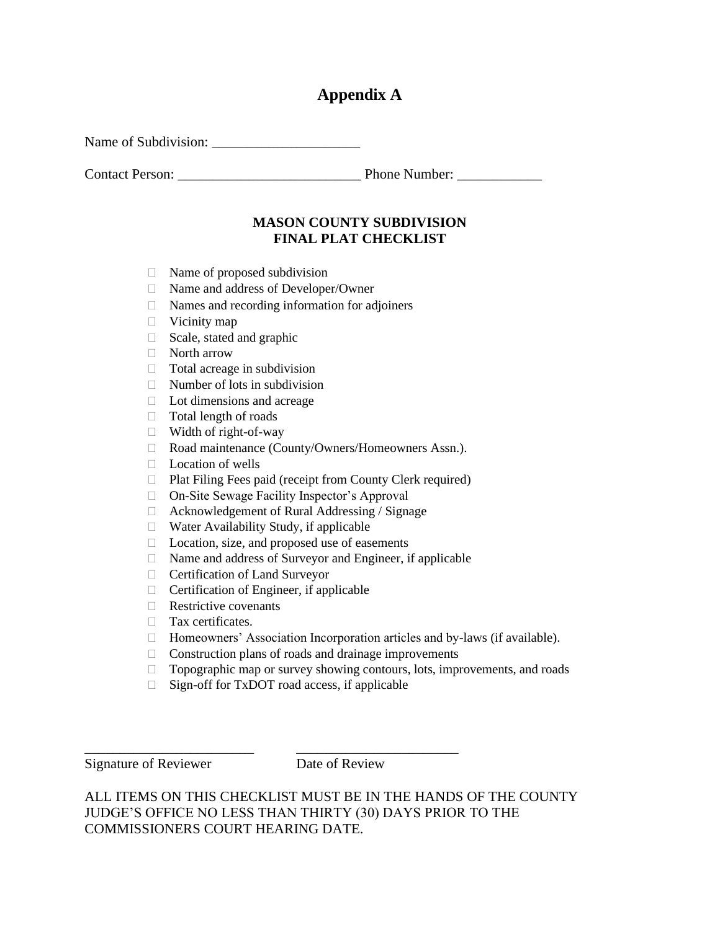## **Appendix A**

Name of Subdivision: \_\_\_\_\_\_\_\_\_\_\_\_\_\_\_\_\_\_\_\_\_

Contact Person: \_\_\_\_\_\_\_\_\_\_\_\_\_\_\_\_\_\_\_\_\_\_\_\_\_\_ Phone Number: \_\_\_\_\_\_\_\_\_\_\_\_

## **MASON COUNTY SUBDIVISION FINAL PLAT CHECKLIST**

- $\Box$  Name of proposed subdivision
- Name and address of Developer/Owner
- $\Box$  Names and recording information for adjoiners
- $\Box$  Vicinity map
- $\Box$  Scale, stated and graphic
- North arrow
- $\Box$  Total acreage in subdivision
- $\Box$  Number of lots in subdivision
- Lot dimensions and acreage
- $\Box$  Total length of roads
- Width of right-of-way
- □ Road maintenance (County/Owners/Homeowners Assn.).
- □ Location of wells
- Plat Filing Fees paid (receipt from County Clerk required)
- On-Site Sewage Facility Inspector's Approval
- $\Box$  Acknowledgement of Rural Addressing / Signage
- $\Box$  Water Availability Study, if applicable
- $\Box$  Location, size, and proposed use of easements
- $\Box$  Name and address of Surveyor and Engineer, if applicable
- Certification of Land Surveyor
- $\Box$  Certification of Engineer, if applicable
- $\Box$  Restrictive covenants
- Tax certificates.
- □ Homeowners' Association Incorporation articles and by-laws (if available).
- $\Box$  Construction plans of roads and drainage improvements
- $\Box$  Topographic map or survey showing contours, lots, improvements, and roads
- $\Box$  Sign-off for TxDOT road access, if applicable

\_\_\_\_\_\_\_\_\_\_\_\_\_\_\_\_\_\_\_\_\_\_\_\_ \_\_\_\_\_\_\_\_\_\_\_\_\_\_\_\_\_\_\_\_\_\_\_

Signature of Reviewer Date of Review

ALL ITEMS ON THIS CHECKLIST MUST BE IN THE HANDS OF THE COUNTY JUDGE'S OFFICE NO LESS THAN THIRTY (30) DAYS PRIOR TO THE COMMISSIONERS COURT HEARING DATE.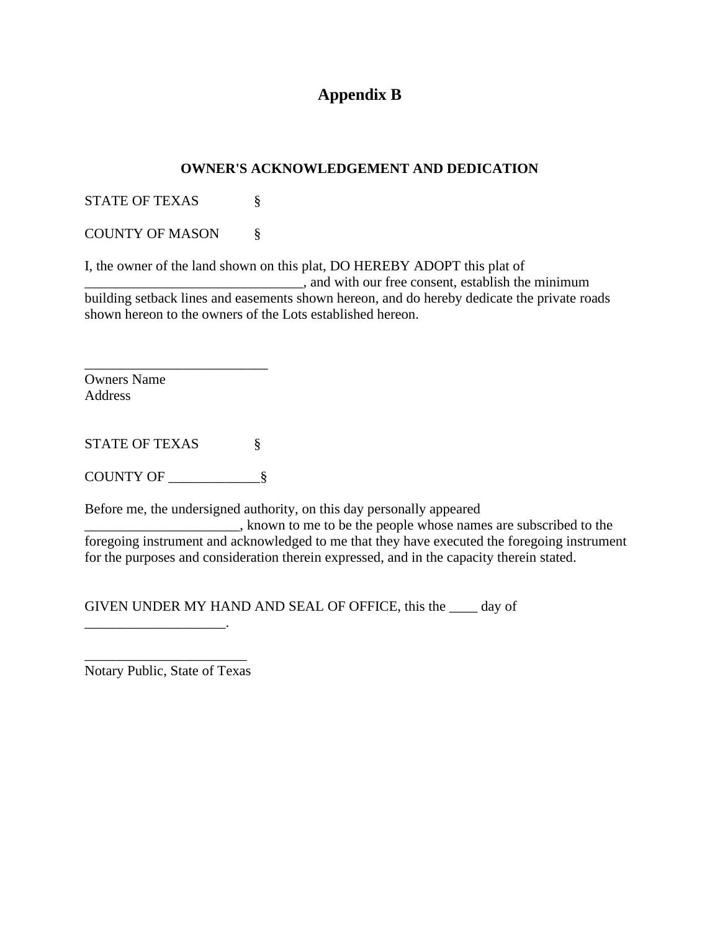## **Appendix B**

### **OWNER'S ACKNOWLEDGEMENT AND DEDICATION**

STATE OF TEXAS §

COUNTY OF MASON §

I, the owner of the land shown on this plat, DO HEREBY ADOPT this plat of

 $\Box$ , and with our free consent, establish the minimum building setback lines and easements shown hereon, and do hereby dedicate the private roads shown hereon to the owners of the Lots established hereon.

Owners Name Address

STATE OF TEXAS  $\S$ 

\_\_\_\_\_\_\_\_\_\_\_\_\_\_\_\_\_\_\_\_\_\_\_\_\_\_

COUNTY OF \_\_\_\_\_\_\_\_\_\_\_\_\_§

Before me, the undersigned authority, on this day personally appeared

**EXECUTE:** known to me to be the people whose names are subscribed to the foregoing instrument and acknowledged to me that they have executed the foregoing instrument for the purposes and consideration therein expressed, and in the capacity therein stated.

GIVEN UNDER MY HAND AND SEAL OF OFFICE, this the \_\_\_\_ day of

\_\_\_\_\_\_\_\_\_\_\_\_\_\_\_\_\_\_\_\_\_\_\_ Notary Public, State of Texas

\_\_\_\_\_\_\_\_\_\_\_\_\_\_\_\_\_\_\_\_.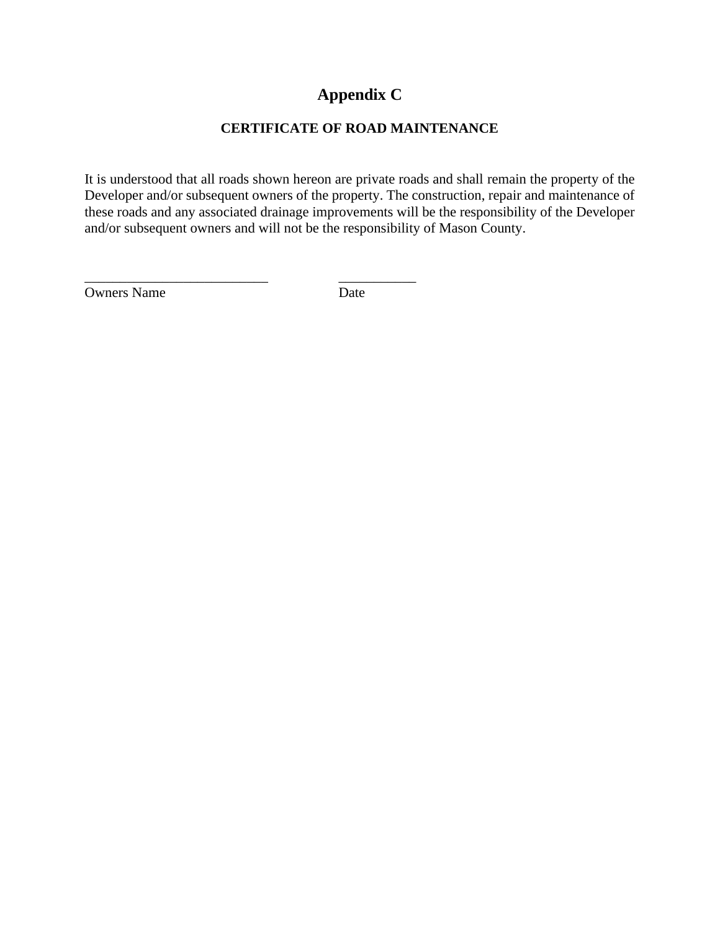## **Appendix C**

## **CERTIFICATE OF ROAD MAINTENANCE**

It is understood that all roads shown hereon are private roads and shall remain the property of the Developer and/or subsequent owners of the property. The construction, repair and maintenance of these roads and any associated drainage improvements will be the responsibility of the Developer and/or subsequent owners and will not be the responsibility of Mason County.

Owners Name Date

\_\_\_\_\_\_\_\_\_\_\_\_\_\_\_\_\_\_\_\_\_\_\_\_\_\_ \_\_\_\_\_\_\_\_\_\_\_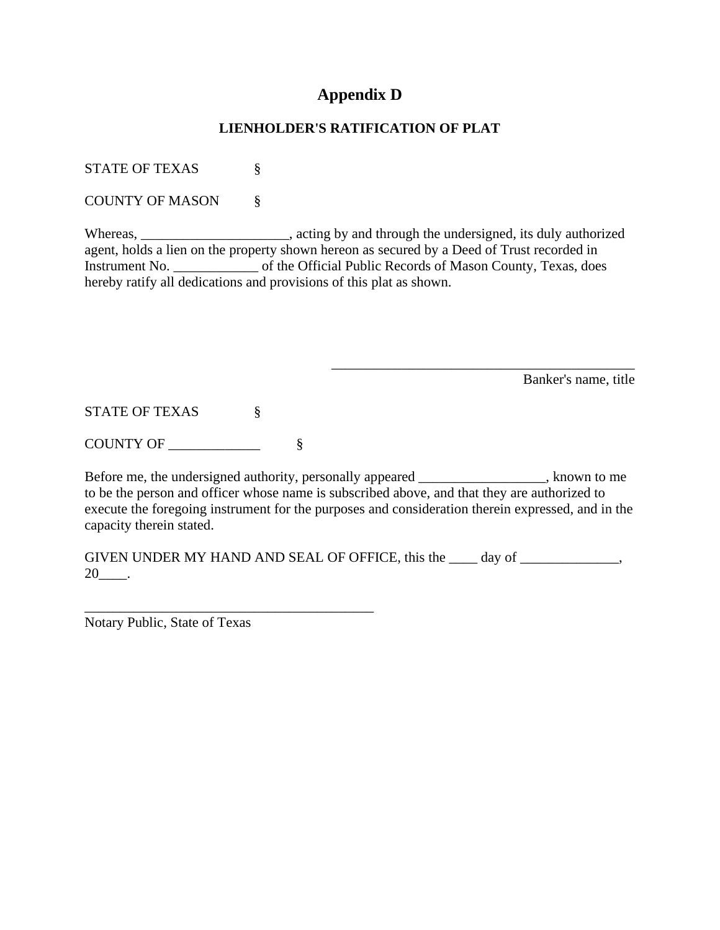## **Appendix D**

### **LIENHOLDER'S RATIFICATION OF PLAT**

STATE OF TEXAS  $\S$ 

COUNTY OF MASON §

Whereas, \_\_\_\_\_\_\_\_\_\_\_\_\_\_\_\_\_, acting by and through the undersigned, its duly authorized agent, holds a lien on the property shown hereon as secured by a Deed of Trust recorded in Instrument No. \_\_\_\_\_\_\_\_\_\_\_\_ of the Official Public Records of Mason County, Texas, does hereby ratify all dedications and provisions of this plat as shown.

Banker's name, title

\_\_\_\_\_\_\_\_\_\_\_\_\_\_\_\_\_\_\_\_\_\_\_\_\_\_\_\_\_\_\_\_\_\_\_\_\_\_\_\_\_\_\_

STATE OF TEXAS §

COUNTY OF \_\_\_\_\_\_\_\_\_\_\_\_\_ §

Before me, the undersigned authority, personally appeared \_\_\_\_\_\_\_\_\_\_\_\_\_\_, known to me to be the person and officer whose name is subscribed above, and that they are authorized to execute the foregoing instrument for the purposes and consideration therein expressed, and in the capacity therein stated.

GIVEN UNDER MY HAND AND SEAL OF OFFICE, this the \_\_\_\_\_ day of \_\_\_\_\_\_\_\_\_\_\_\_\_,  $20$ \_\_\_\_\_.

Notary Public, State of Texas

\_\_\_\_\_\_\_\_\_\_\_\_\_\_\_\_\_\_\_\_\_\_\_\_\_\_\_\_\_\_\_\_\_\_\_\_\_\_\_\_\_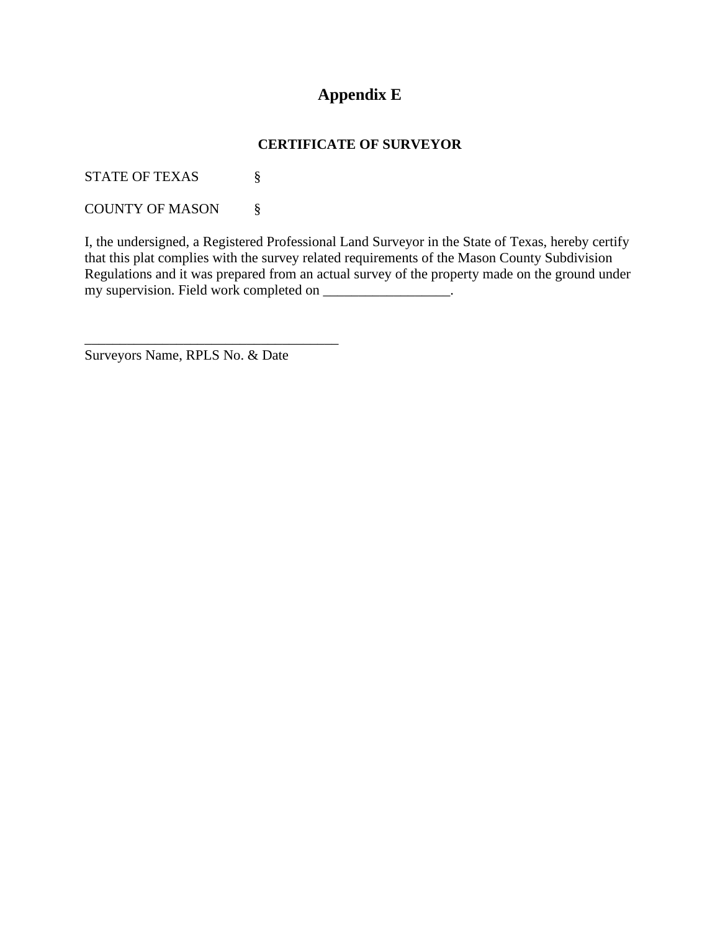## **Appendix E**

## **CERTIFICATE OF SURVEYOR**

STATE OF TEXAS  $\S$ 

COUNTY OF MASON §

I, the undersigned, a Registered Professional Land Surveyor in the State of Texas, hereby certify that this plat complies with the survey related requirements of the Mason County Subdivision Regulations and it was prepared from an actual survey of the property made on the ground under my supervision. Field work completed on \_\_\_\_\_\_\_\_\_\_\_\_\_\_\_\_\_\_\_\_.

Surveyors Name, RPLS No. & Date

\_\_\_\_\_\_\_\_\_\_\_\_\_\_\_\_\_\_\_\_\_\_\_\_\_\_\_\_\_\_\_\_\_\_\_\_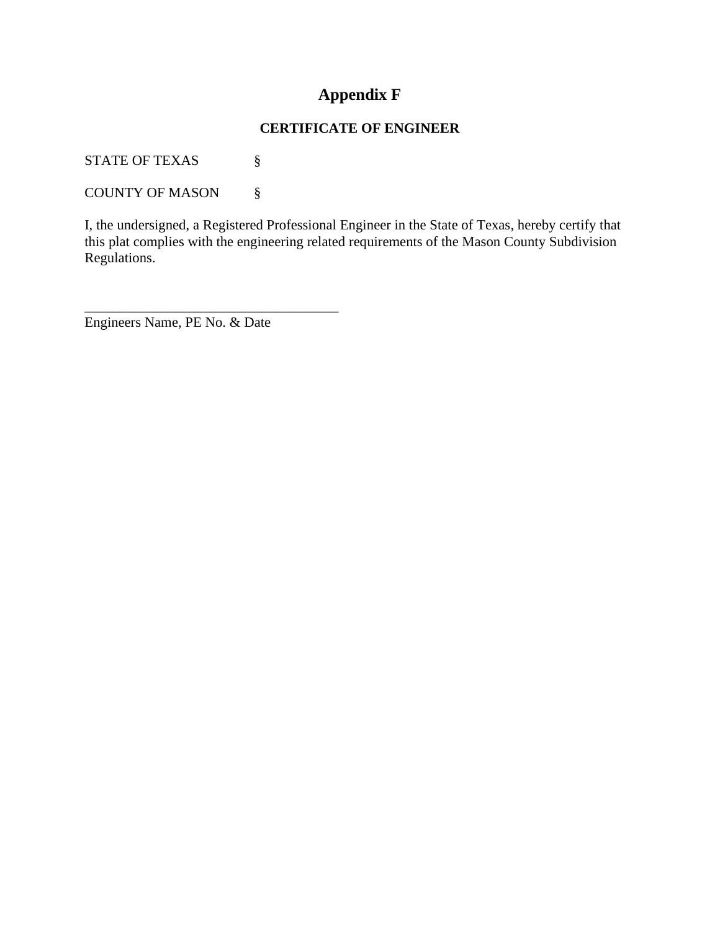## **Appendix F**

### **CERTIFICATE OF ENGINEER**

STATE OF TEXAS  $\S$ 

COUNTY OF MASON §

I, the undersigned, a Registered Professional Engineer in the State of Texas, hereby certify that this plat complies with the engineering related requirements of the Mason County Subdivision Regulations.

Engineers Name, PE No. & Date

\_\_\_\_\_\_\_\_\_\_\_\_\_\_\_\_\_\_\_\_\_\_\_\_\_\_\_\_\_\_\_\_\_\_\_\_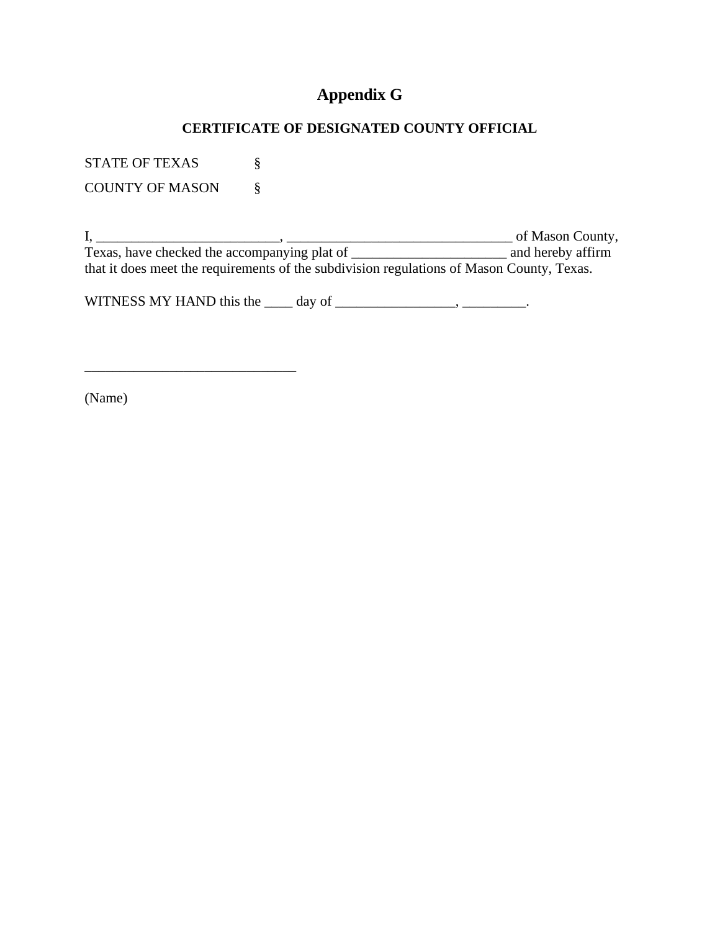## **Appendix G**

## **CERTIFICATE OF DESIGNATED COUNTY OFFICIAL**

STATE OF TEXAS  $\S$ COUNTY OF MASON §

\_\_\_\_\_\_\_\_\_\_\_\_\_\_\_\_\_\_\_\_\_\_\_\_\_\_\_\_\_\_

I, \_\_\_\_\_\_\_\_\_\_\_\_\_\_\_\_\_\_\_\_\_\_\_\_\_\_, \_\_\_\_\_\_\_\_\_\_\_\_\_\_\_\_\_\_\_\_\_\_\_\_\_\_\_\_\_\_\_\_ of Mason County, Texas, have checked the accompanying plat of \_\_\_\_\_\_\_\_\_\_\_\_\_\_\_\_\_\_\_\_\_\_ and hereby affirm that it does meet the requirements of the subdivision regulations of Mason County, Texas.

WITNESS MY HAND this the  $\_\_\_$  day of  $\_\_\_\_\_\_\_\_\_\_$ .

(Name)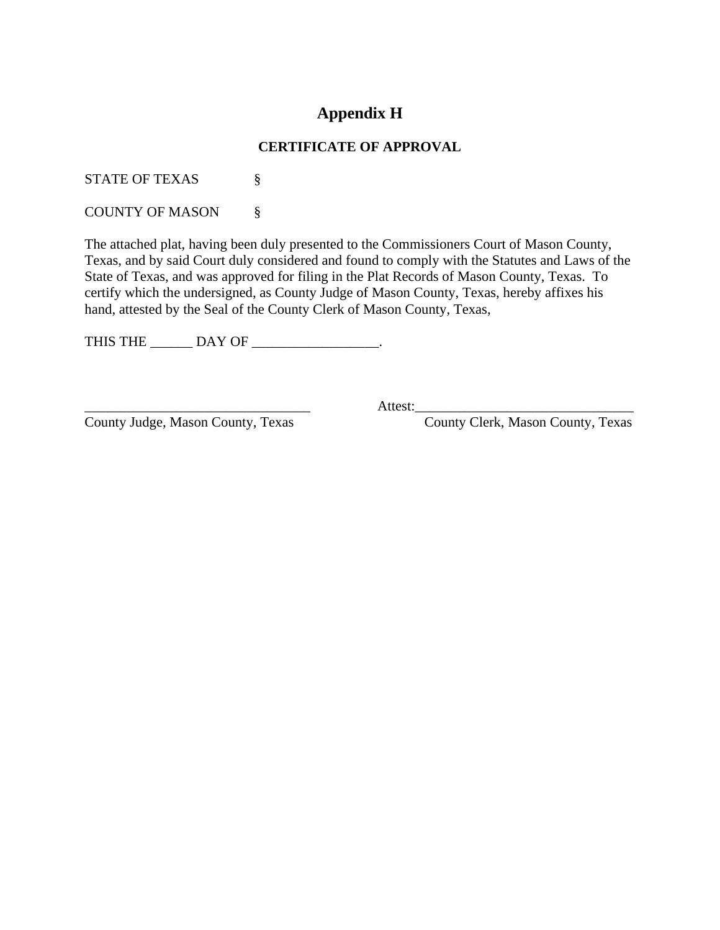## **Appendix H**

### **CERTIFICATE OF APPROVAL**

STATE OF TEXAS  $\S$ 

COUNTY OF MASON §

The attached plat, having been duly presented to the Commissioners Court of Mason County, Texas, and by said Court duly considered and found to comply with the Statutes and Laws of the State of Texas, and was approved for filing in the Plat Records of Mason County, Texas. To certify which the undersigned, as County Judge of Mason County, Texas, hereby affixes his hand, attested by the Seal of the County Clerk of Mason County, Texas,

THIS THE \_\_\_\_\_\_\_ DAY OF \_\_\_\_\_\_\_\_\_\_\_\_\_\_\_\_.

County Judge, Mason County, Texas County Clerk, Mason County, Texas

\_\_\_\_\_\_\_\_\_\_\_\_\_\_\_\_\_\_\_\_\_\_\_\_\_\_\_\_\_\_\_\_ Attest:\_\_\_\_\_\_\_\_\_\_\_\_\_\_\_\_\_\_\_\_\_\_\_\_\_\_\_\_\_\_\_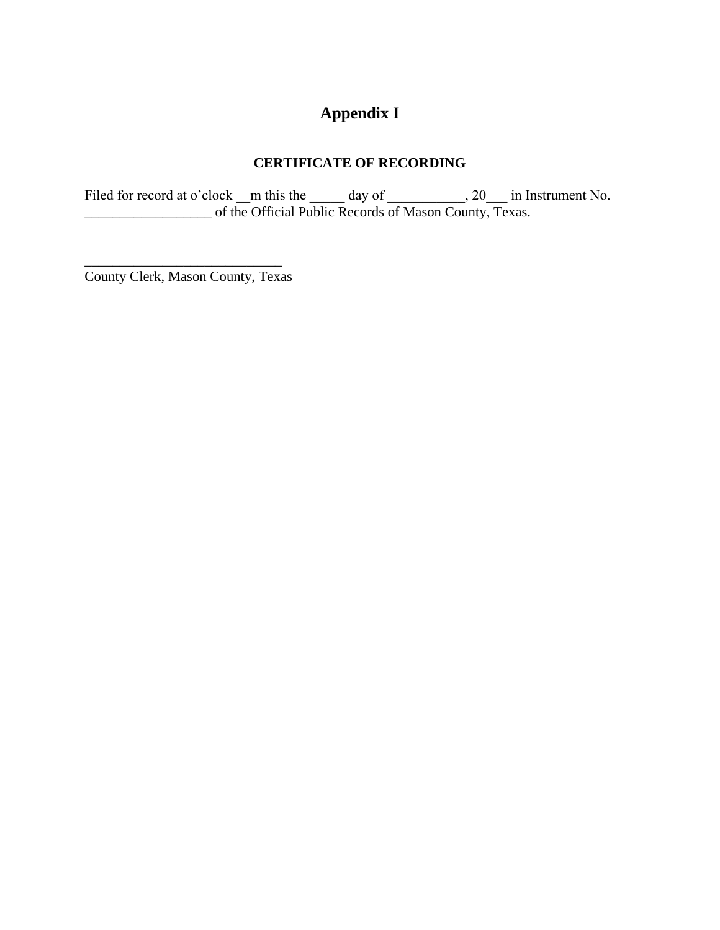# **Appendix I**

## **CERTIFICATE OF RECORDING**

Filed for record at o'clock  $\mu$ m this the  $\mu$  day of  $\mu$ , 20 in Instrument No. \_\_\_\_\_\_\_\_\_\_\_\_\_\_\_\_\_\_ of the Official Public Records of Mason County, Texas.

\_\_\_\_\_\_\_\_\_\_\_\_\_\_\_\_\_\_\_\_\_\_\_\_\_\_\_\_ County Clerk, Mason County, Texas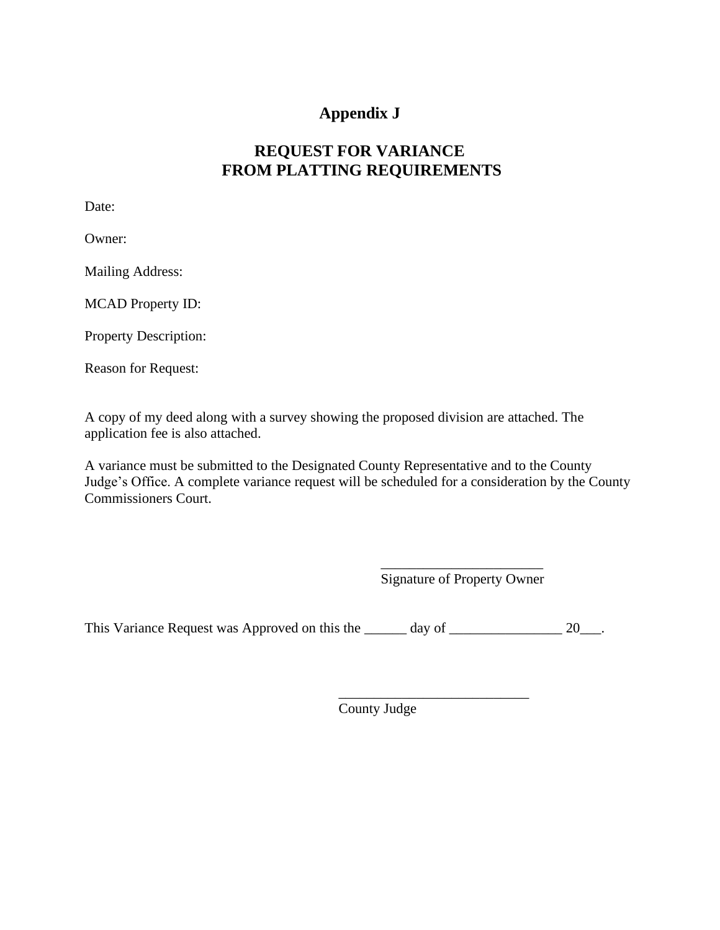## **Appendix J**

## **REQUEST FOR VARIANCE FROM PLATTING REQUIREMENTS**

Date:

Owner:

Mailing Address:

MCAD Property ID:

Property Description:

Reason for Request:

A copy of my deed along with a survey showing the proposed division are attached. The application fee is also attached.

A variance must be submitted to the Designated County Representative and to the County Judge's Office. A complete variance request will be scheduled for a consideration by the County Commissioners Court.

> \_\_\_\_\_\_\_\_\_\_\_\_\_\_\_\_\_\_\_\_\_\_\_ Signature of Property Owner

\_\_\_\_\_\_\_\_\_\_\_\_\_\_\_\_\_\_\_\_\_\_\_\_\_\_\_

This Variance Request was Approved on this the \_\_\_\_\_\_ day of \_\_\_\_\_\_\_\_\_\_\_\_\_\_\_ 20\_\_\_.

County Judge